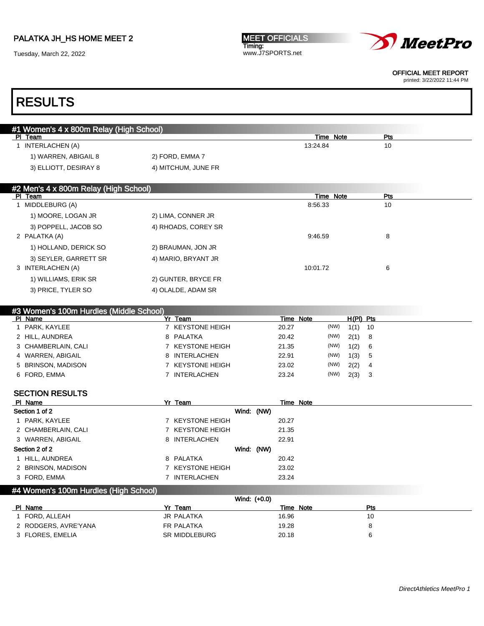Tuesday, March 22, 2022





OFFICIAL MEET REPORT

printed: 3/22/2022 11:44 PM

# RESULTS

| #1 Women's 4 x 800m Relay (High School) |                     |           |     |  |
|-----------------------------------------|---------------------|-----------|-----|--|
| PI Team                                 |                     | Time Note | Pts |  |
| INTERLACHEN (A)                         |                     | 13:24.84  | 10  |  |
| 1) WARREN, ABIGAIL 8                    | 2) FORD, EMMA 7     |           |     |  |
| 3) ELLIOTT, DESIRAY 8                   | 4) MITCHUM, JUNE FR |           |     |  |
|                                         |                     |           |     |  |
| #2 Men's 4 x 800m Relay (High School)   |                     |           |     |  |

| PI Team               |                     | Time Note | Pts |
|-----------------------|---------------------|-----------|-----|
| MIDDLEBURG (A)        |                     | 8:56.33   | 10  |
| 1) MOORE, LOGAN JR    | 2) LIMA, CONNER JR  |           |     |
| 3) POPPELL, JACOB SO  | 4) RHOADS, COREY SR |           |     |
| 2 PALATKA (A)         |                     | 9:46.59   | 8   |
| 1) HOLLAND, DERICK SO | 2) BRAUMAN, JON JR  |           |     |
| 3) SEYLER, GARRETT SR | 4) MARIO, BRYANT JR |           |     |
| 3 INTERLACHEN (A)     |                     | 10:01.72  | 6   |
| 1) WILLIAMS, ERIK SR  | 2) GUNTER, BRYCE FR |           |     |
| 3) PRICE, TYLER SO    | 4) OLALDE, ADAM SR  |           |     |

| #3 Women's 100m Hurdles (Middle School) |    |                  |       |           |             |     |
|-----------------------------------------|----|------------------|-------|-----------|-------------|-----|
| PI Name                                 | Yr | Team             |       | Time Note | $H(PI)$ Pts |     |
| PARK, KAYLEE                            |    | 7 KEYSTONE HEIGH | 20.27 | (NW)      | 1(1)        | -10 |
| 2 HILL, AUNDREA                         |    | 8 PALATKA        | 20.42 | (NW)      | $2(1)$ 8    |     |
| 3 CHAMBERLAIN, CALI                     |    | 7 KEYSTONE HEIGH | 21.35 | (NW)      | 1(2)        | - 6 |
| 4 WARREN, ABIGAIL                       |    | 8 INTERLACHEN    | 22.91 | (NW)      | 1(3)        | -5  |
| 5 BRINSON, MADISON                      |    | 7 KEYSTONE HEIGH | 23.02 | (NW)      | 2(2)        | 4   |
| 6 FORD, EMMA                            |    | INTERLACHEN      | 23.24 | (NW)      | 2(3)        | -3  |

### SECTION RESULTS

| PI Name             | Yr Team          | Time Note |
|---------------------|------------------|-----------|
| Section 1 of 2      | Wind: (NW)       |           |
| PARK, KAYLEE        | 7 KEYSTONE HEIGH | 20.27     |
| 2 CHAMBERLAIN, CALI | 7 KEYSTONE HEIGH | 21.35     |
| 3 WARREN, ABIGAIL   | 8 INTERLACHEN    | 22.91     |
| Section 2 of 2      | Wind: (NW)       |           |
| 1 HILL, AUNDREA     | 8 PALATKA        | 20.42     |
| 2 BRINSON, MADISON  | 7 KEYSTONE HEIGH | 23.02     |
| 3 FORD, EMMA        | 7 INTERLACHEN    | 23.24     |

### #4 Women's 100m Hurdles (High School)

|                      |               | Wind: (+0.0) |     |  |
|----------------------|---------------|--------------|-----|--|
| PI Name              | Yr<br>Team    | Note<br>Time | Pts |  |
| FORD. ALLEAH         | JR PALATKA    | 16.96        | 10  |  |
| 2 RODGERS, AVRE'YANA | FR PALATKA    | 19.28        |     |  |
| 3 FLORES, EMELIA     | SR MIDDLEBURG | 20.18        | ĸ   |  |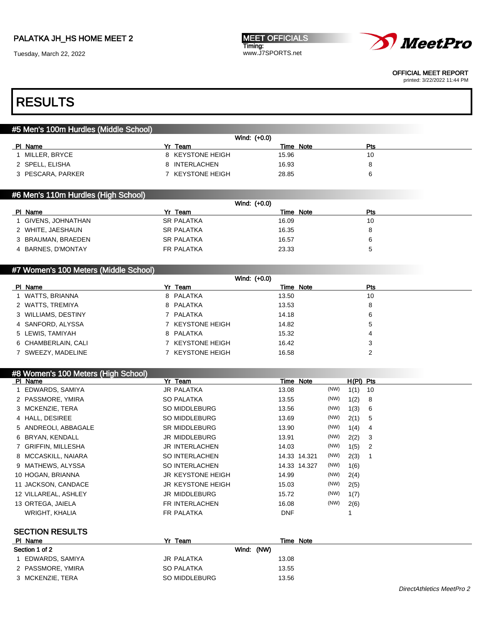Tuesday, March 22, 2022

MEET OFFICIALS Timing: www.J7SPORTS.net



OFFICIAL MEET REPORT

printed: 3/22/2022 11:44 PM

### RESULTS

#### #5 Men's 100m Hurdles (Middle School)

|                   | Wind: (+0.0)     |           |     |
|-------------------|------------------|-----------|-----|
| PI Name           | Team             | Time Note | Pts |
| MILLER, BRYCE     | 8 KEYSTONE HEIGH | 15.96     | 10  |
| 2 SPELL, ELISHA   | 8 INTERLACHEN    | 16.93     |     |
| 3 PESCARA, PARKER | KEYSTONE HEIGH   | 28.85     |     |

#### #6 Men's 110m Hurdles (High School)

|                     |                   | Wind: (+0.0) |              |  |
|---------------------|-------------------|--------------|--------------|--|
| PI Name             | Yr Team           | Time Note    | Pts          |  |
| 1 GIVENS, JOHNATHAN | <b>SR PALATKA</b> | 16.09        | 10           |  |
| 2 WHITE, JAESHAUN   | <b>SR PALATKA</b> | 16.35        | 8            |  |
| 3 BRAUMAN, BRAEDEN  | <b>SR PALATKA</b> | 16.57        | 6            |  |
| 4 BARNES, D'MONTAY  | FR PALATKA        | 23.33        | <sub>5</sub> |  |

#### #7 Women's 100 Meters (Middle School)

|                     |                  | Wind: (+0.0) |     |  |
|---------------------|------------------|--------------|-----|--|
| PI Name             | Yr Team          | Time Note    | Pts |  |
| 1 WATTS, BRIANNA    | 8 PALATKA        | 13.50        | 10  |  |
| 2 WATTS, TREMIYA    | 8 PALATKA        | 13.53        | 8   |  |
| 3 WILLIAMS, DESTINY | 7 PALATKA        | 14.18        | 6   |  |
| 4 SANFORD, ALYSSA   | 7 KEYSTONE HEIGH | 14.82        | 5   |  |
| 5 LEWIS, TAMIYAH    | 8 PALATKA        | 15.32        | 4   |  |
| 6 CHAMBERLAIN, CALI | 7 KEYSTONE HEIGH | 16.42        | 3   |  |
| 7 SWEEZY, MADELINE  | KEYSTONE HEIGH   | 16.58        |     |  |

#### #8 Women's 100 Meters (High School)

| PI Name              | Yr Team                  | Time Note    |      | $H(PI)$ Pts |                            |
|----------------------|--------------------------|--------------|------|-------------|----------------------------|
| 1 EDWARDS, SAMIYA    | JR PALATKA               | 13.08        | (NW) | 1(1)        | - 10                       |
| 2 PASSMORE, YMIRA    | SO PALATKA               | 13.55        | (NW) | 1(2)        | - 8                        |
| 3 MCKENZIE, TERA     | SO MIDDLEBURG            | 13.56        | (NW) | 1(3)        | 6                          |
| 4 HALL, DESIREE      | SO MIDDLEBURG            | 13.69        | (NW) | 2(1)        | 5                          |
| 5 ANDREOLI, ABBAGALE | <b>SR MIDDLEBURG</b>     | 13.90        | (NW) | 1(4)        | -4                         |
| 6 BRYAN, KENDALL     | JR MIDDLEBURG            | 13.91        | (NW) | 2(2)        | - 3                        |
| 7 GRIFFIN, MILLESHA  | JR INTERLACHEN           | 14.03        | (NW) | 1(5)        | $\overline{\phantom{0}}^2$ |
| 8 MCCASKILL, NAIARA  | SO INTERLACHEN           | 14.33 14.321 | (NW) | 2(3)        |                            |
| 9 MATHEWS, ALYSSA    | SO INTERLACHEN           | 14.33 14.327 | (NW) | 1(6)        |                            |
| 10 HOGAN, BRIANNA    | <b>JR KEYSTONE HEIGH</b> | 14.99        | (NW) | 2(4)        |                            |
| 11 JACKSON, CANDACE  | <b>JR KEYSTONE HEIGH</b> | 15.03        | (NW) | 2(5)        |                            |
| 12 VILLAREAL, ASHLEY | JR MIDDLEBURG            | 15.72        | (NW) | 1(7)        |                            |
| 13 ORTEGA, JAIELA    | FR INTERLACHEN           | 16.08        | (NW) | 2(6)        |                            |
| WRIGHT, KHALIA       | FR PALATKA               | <b>DNF</b>   |      |             |                            |

#### SECTION RESULTS

| PI Name           | Team<br>V۳    | Time Note |
|-------------------|---------------|-----------|
| Section 1 of 2    | Wind: (NW)    |           |
| EDWARDS, SAMIYA   | JR PALATKA    | 13.08     |
| 2 PASSMORE, YMIRA | SO PALATKA    | 13.55     |
| 3 MCKENZIE, TERA  | SO MIDDLEBURG | 13.56     |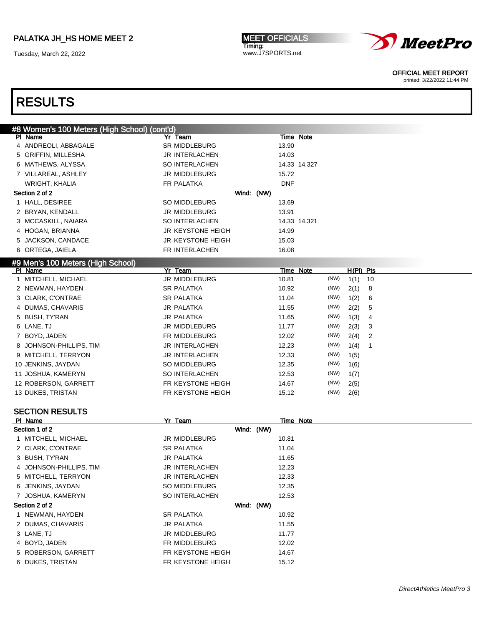Tuesday, March 22, 2022

MEET OFFICIALS Timing: www.J7SPORTS.net



OFFICIAL MEET REPORT

printed: 3/22/2022 11:44 PM

| #8 Women's 100 Meters (High School) (cont'd) |                       |            |            |              |      |             |    |  |
|----------------------------------------------|-----------------------|------------|------------|--------------|------|-------------|----|--|
| PI Name                                      | Yr Team               |            | Time Note  |              |      |             |    |  |
| 4 ANDREOLI, ABBAGALE                         | SR MIDDLEBURG         |            | 13.90      |              |      |             |    |  |
| 5 GRIFFIN, MILLESHA                          | JR INTERLACHEN        |            | 14.03      |              |      |             |    |  |
| 6 MATHEWS, ALYSSA                            | <b>SO INTERLACHEN</b> |            |            | 14.33 14.327 |      |             |    |  |
| 7 VILLAREAL, ASHLEY                          | JR MIDDLEBURG         |            | 15.72      |              |      |             |    |  |
| WRIGHT, KHALIA                               | FR PALATKA            |            | <b>DNF</b> |              |      |             |    |  |
| Section 2 of 2                               |                       | Wind: (NW) |            |              |      |             |    |  |
| 1 HALL, DESIREE                              | SO MIDDLEBURG         |            | 13.69      |              |      |             |    |  |
| 2 BRYAN, KENDALL                             | JR MIDDLEBURG         |            | 13.91      |              |      |             |    |  |
| 3 MCCASKILL, NAIARA                          | <b>SO INTERLACHEN</b> |            |            | 14.33 14.321 |      |             |    |  |
| 4 HOGAN, BRIANNA                             | JR KEYSTONE HEIGH     |            | 14.99      |              |      |             |    |  |
| 5 JACKSON, CANDACE                           | JR KEYSTONE HEIGH     |            | 15.03      |              |      |             |    |  |
| 6 ORTEGA, JAIELA                             | FR INTERLACHEN        |            | 16.08      |              |      |             |    |  |
| #9 Men's 100 Meters (High School)            |                       |            |            |              |      |             |    |  |
| PI Name                                      | Yr Team               |            | Time Note  |              |      | $H(PI)$ Pts |    |  |
| 1 MITCHELL, MICHAEL                          | JR MIDDLEBURG         |            | 10.81      |              | (NW) | 1(1)        | 10 |  |
| 2 NEWMAN, HAYDEN                             | <b>SR PALATKA</b>     |            | 10.92      |              | (NW) | 2(1)        | 8  |  |
| 3 CLARK, C'ONTRAE                            | <b>SR PALATKA</b>     |            | 11.04      |              | (NW) | 1(2)        | 6  |  |
| 4 DUMAS, CHAVARIS                            | <b>JR PALATKA</b>     |            | 11.55      |              | (NW) | 2(2)        | 5  |  |
| 5 BUSH, TY'RAN                               | <b>JR PALATKA</b>     |            | 11.65      |              | (NW) | 1(3)        | 4  |  |
| 6 LANE, TJ                                   | JR MIDDLEBURG         |            | 11.77      |              | (NW) | 2(3)        | 3  |  |
| 7 BOYD, JADEN                                | FR MIDDLEBURG         |            | 12.02      |              | (NW) | 2(4)        | 2  |  |
| 8 JOHNSON-PHILLIPS, TIM                      | JR INTERLACHEN        |            | 12.23      |              | (NW) | 1(4)        | 1  |  |
| 9 MITCHELL, TERRYON                          | JR INTERLACHEN        |            | 12.33      |              | (NW) | 1(5)        |    |  |
| 10 JENKINS, JAYDAN                           | SO MIDDLEBURG         |            | 12.35      |              | (NW) | 1(6)        |    |  |
| 11 JOSHUA, KAMERYN                           | <b>SO INTERLACHEN</b> |            | 12.53      |              | (NW) | 1(7)        |    |  |
| 12 ROBERSON, GARRETT                         | FR KEYSTONE HEIGH     |            | 14.67      |              | (NW) | 2(5)        |    |  |
| 13 DUKES, TRISTAN                            | FR KEYSTONE HEIGH     |            | 15.12      |              | (NW) | 2(6)        |    |  |
|                                              |                       |            |            |              |      |             |    |  |
| <b>SECTION RESULTS</b>                       |                       |            |            |              |      |             |    |  |
| PI Name<br>Section 1 of 2                    | Yr Team               | Wind: (NW) | Time Note  |              |      |             |    |  |
| 1 MITCHELL, MICHAEL                          | JR MIDDLEBURG         |            | 10.81      |              |      |             |    |  |
| 2 CLARK, C'ONTRAE                            | SR PALATKA            |            | 11.04      |              |      |             |    |  |
| 3 BUSH, TY'RAN                               | <b>JR PALATKA</b>     |            | 11.65      |              |      |             |    |  |
| 4 JOHNSON-PHILLIPS, TIM                      | JR INTERLACHEN        |            | 12.23      |              |      |             |    |  |
| 5 MITCHELL, TERRYON                          | JR INTERLACHEN        |            | 12.33      |              |      |             |    |  |
| 6 JENKINS, JAYDAN                            | SO MIDDLEBURG         |            | 12.35      |              |      |             |    |  |
| 7 JOSHUA, KAMERYN                            | <b>SO INTERLACHEN</b> |            | 12.53      |              |      |             |    |  |
| Section 2 of 2                               |                       | Wind: (NW) |            |              |      |             |    |  |
| 1 NEWMAN, HAYDEN                             | SR PALATKA            |            | 10.92      |              |      |             |    |  |
| 2 DUMAS, CHAVARIS                            | JR PALATKA            |            | 11.55      |              |      |             |    |  |
| 3 LANE, TJ                                   | JR MIDDLEBURG         |            | 11.77      |              |      |             |    |  |
| 4 BOYD, JADEN                                | FR MIDDLEBURG         |            | 12.02      |              |      |             |    |  |
| 5 ROBERSON, GARRETT                          | FR KEYSTONE HEIGH     |            | 14.67      |              |      |             |    |  |
| 6 DUKES, TRISTAN                             | FR KEYSTONE HEIGH     |            | 15.12      |              |      |             |    |  |
|                                              |                       |            |            |              |      |             |    |  |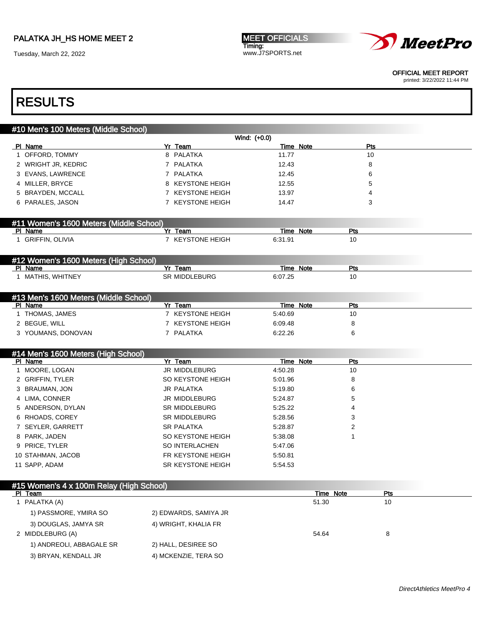Tuesday, March 22, 2022

**MEET OFFICIALS** Timing: www.J7SPORTS.net



OFFICIAL MEET REPORT

printed: 3/22/2022 11:44 PM

### RESULTS

### #10 Men's 100 Meters (Middle School)

|                                                     |                       | Wind: (+0.0) |            |  |
|-----------------------------------------------------|-----------------------|--------------|------------|--|
| PI Name                                             | Yr Team               | Time Note    | Pts        |  |
| 1 OFFORD, TOMMY                                     | 8 PALATKA             | 11.77        | 10         |  |
| 2 WRIGHT JR, KEDRIC                                 | 7 PALATKA             | 12.43        | 8          |  |
| 3 EVANS, LAWRENCE                                   | 7 PALATKA             | 12.45        | 6          |  |
| 4 MILLER, BRYCE                                     | 8 KEYSTONE HEIGH      | 12.55        | 5          |  |
| 5 BRAYDEN, MCCALL                                   | 7 KEYSTONE HEIGH      | 13.97        | 4          |  |
| 6 PARALES, JASON                                    | 7 KEYSTONE HEIGH      | 14.47        | 3          |  |
|                                                     |                       |              |            |  |
| #11 Women's 1600 Meters (Middle School)             |                       |              |            |  |
| PI Name                                             | Yr Team               | Time Note    | <b>Pts</b> |  |
| 1 GRIFFIN, OLIVIA                                   | 7 KEYSTONE HEIGH      | 6:31.91      | 10         |  |
|                                                     |                       |              |            |  |
| #12 Women's 1600 Meters (High School)               |                       |              |            |  |
| PI Name                                             | Yr Team               | Time Note    | Pts        |  |
| 1 MATHIS, WHITNEY                                   | <b>SR MIDDLEBURG</b>  | 6:07.25      | 10         |  |
|                                                     |                       |              |            |  |
| #13 Men's 1600 Meters (Middle School)               |                       |              |            |  |
| PI Name                                             | Yr Team               | Time Note    | Pts        |  |
| 1 THOMAS, JAMES                                     | 7 KEYSTONE HEIGH      | 5:40.69      | 10         |  |
| 2 BEGUE, WILL                                       | 7 KEYSTONE HEIGH      | 6:09.48      | 8          |  |
| 3 YOUMANS, DONOVAN                                  | 7 PALATKA             | 6:22.26      | 6          |  |
|                                                     |                       |              |            |  |
| #14 Men's 1600 Meters (High School)<br>PI Name      | Yr Team               | Time Note    | Pts        |  |
| 1 MOORE, LOGAN                                      | JR MIDDLEBURG         | 4:50.28      | 10         |  |
| 2 GRIFFIN, TYLER                                    | SO KEYSTONE HEIGH     | 5:01.96      | 8          |  |
| 3 BRAUMAN, JON                                      | JR PALATKA            | 5:19.80      | 6          |  |
| 4 LIMA, CONNER                                      | JR MIDDLEBURG         | 5:24.87      | 5          |  |
| 5 ANDERSON, DYLAN                                   | SR MIDDLEBURG         | 5:25.22      | 4          |  |
| 6 RHOADS, COREY                                     | <b>SR MIDDLEBURG</b>  | 5:28.56      | 3          |  |
| 7 SEYLER, GARRETT                                   | <b>SR PALATKA</b>     | 5:28.87      | 2          |  |
| 8 PARK, JADEN                                       | SO KEYSTONE HEIGH     | 5:38.08      | 1          |  |
| 9 PRICE, TYLER                                      | <b>SO INTERLACHEN</b> | 5:47.06      |            |  |
| 10 STAHMAN, JACOB                                   | FR KEYSTONE HEIGH     | 5:50.81      |            |  |
| 11 SAPP, ADAM                                       | SR KEYSTONE HEIGH     |              |            |  |
|                                                     |                       | 5:54.53      |            |  |
|                                                     |                       |              |            |  |
| #15 Women's 4 x 100m Relay (High School)<br>DI Team |                       | Time Note    | <b>Pte</b> |  |

| PI Team                  |                       | Time Note | Pts |  |
|--------------------------|-----------------------|-----------|-----|--|
| 1 PALATKA (A)            |                       | 51.30     | 10  |  |
| 1) PASSMORE, YMIRA SO    | 2) EDWARDS, SAMIYA JR |           |     |  |
| 3) DOUGLAS, JAMYA SR     | 4) WRIGHT, KHALIA FR  |           |     |  |
| 2 MIDDLEBURG (A)         |                       | 54.64     | 8   |  |
| 1) ANDREOLI, ABBAGALE SR | 2) HALL, DESIREE SO   |           |     |  |
| 3) BRYAN, KENDALL JR     | 4) MCKENZIE, TERA SO  |           |     |  |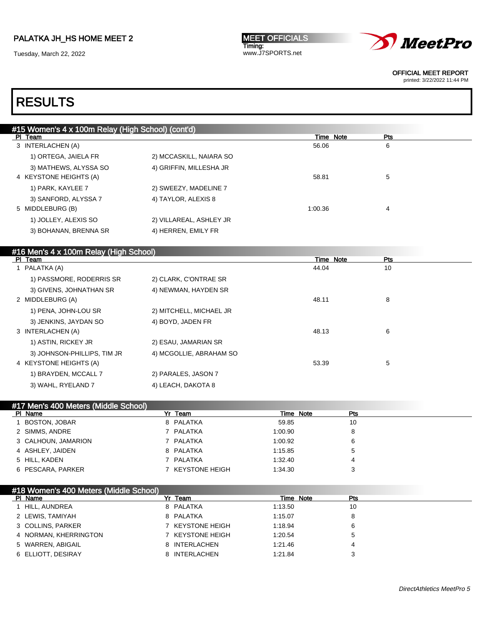Tuesday, March 22, 2022

MEET OFFICIALS Timing: www.J7SPORTS.net



OFFICIAL MEET REPORT

printed: 3/22/2022 11:44 PM

# RESULTS

| #15 Women's 4 x 100m Relay (High School) (cont'd) |                         |           |            |  |  |  |  |
|---------------------------------------------------|-------------------------|-----------|------------|--|--|--|--|
| PI Team                                           |                         | Time Note | <b>Pts</b> |  |  |  |  |
| 3 INTERLACHEN (A)                                 |                         | 56.06     | 6          |  |  |  |  |
| 1) ORTEGA, JAIELA FR                              | 2) MCCASKILL, NAIARA SO |           |            |  |  |  |  |
| 3) MATHEWS, ALYSSA SO                             | 4) GRIFFIN, MILLESHA JR |           |            |  |  |  |  |
| 4 KEYSTONE HEIGHTS (A)                            |                         | 58.81     | 5          |  |  |  |  |
| 1) PARK, KAYLEE 7                                 | 2) SWEEZY, MADELINE 7   |           |            |  |  |  |  |
| 3) SANFORD, ALYSSA 7                              | 4) TAYLOR, ALEXIS 8     |           |            |  |  |  |  |
| 5 MIDDLEBURG (B)                                  |                         | 1:00.36   | 4          |  |  |  |  |
| 1) JOLLEY, ALEXIS SO                              | 2) VILLAREAL, ASHLEY JR |           |            |  |  |  |  |
| 3) BOHANAN, BRENNA SR                             | 4) HERREN, EMILY FR     |           |            |  |  |  |  |
|                                                   |                         |           |            |  |  |  |  |

#### #16 Men's 4 x 100m Relay (High School)

| PI Team                     |                         | Time Note | <b>Pts</b> |
|-----------------------------|-------------------------|-----------|------------|
| 1 PALATKA (A)               |                         | 44.04     | 10         |
| 1) PASSMORE, RODERRIS SR    | 2) CLARK, C'ONTRAE SR   |           |            |
| 3) GIVENS, JOHNATHAN SR     | 4) NEWMAN, HAYDEN SR    |           |            |
| 2 MIDDLEBURG (A)            |                         | 48.11     | 8          |
| 1) PENA, JOHN-LOU SR        | 2) MITCHELL, MICHAEL JR |           |            |
| 3) JENKINS, JAYDAN SO       | 4) BOYD, JADEN FR       |           |            |
| 3 INTERLACHEN (A)           |                         | 48.13     | 6          |
| 1) ASTIN, RICKEY JR         | 2) ESAU, JAMARIAN SR    |           |            |
| 3) JOHNSON-PHILLIPS, TIM JR | 4) MCGOLLIE, ABRAHAM SO |           |            |
| 4 KEYSTONE HEIGHTS (A)      |                         | 53.39     | 5          |
| 1) BRAYDEN, MCCALL 7        | 2) PARALES, JASON 7     |           |            |
| 3) WAHL, RYELAND 7          | 4) LEACH, DAKOTA 8      |           |            |

| #17 Men's 400 Meters (Middle School) |                  |           |            |  |
|--------------------------------------|------------------|-----------|------------|--|
| PI Name                              | Yr Team          | Time Note | <b>Pts</b> |  |
| 1 BOSTON, JOBAR                      | 8 PALATKA        | 59.85     | 10         |  |
| 2 SIMMS, ANDRE                       | 7 PALATKA        | 1:00.90   | 8          |  |
| 3 CALHOUN, JAMARION                  | 7 PALATKA        | 1:00.92   | 6          |  |
| 4 ASHLEY, JAIDEN                     | 8 PALATKA        | 1:15.85   | 5          |  |
| 5 HILL, KADEN                        | 7 PALATKA        | 1:32.40   | 4          |  |
| 6 PESCARA, PARKER                    | 7 KEYSTONE HEIGH | 1:34.30   | 3          |  |

### #18 Women's 400 Meters (Middle School)

| PI Name            |                       | Yr Team          |         | Time Note | Pts |
|--------------------|-----------------------|------------------|---------|-----------|-----|
| HILL, AUNDREA      |                       | 8 PALATKA        | 1:13.50 |           | 10  |
| 2 LEWIS, TAMIYAH   |                       | 8 PALATKA        | 1:15.07 |           |     |
| 3 COLLINS, PARKER  |                       | 7 KEYSTONE HEIGH | 1:18.94 |           |     |
|                    | 4 NORMAN, KHERRINGTON | 7 KEYSTONE HEIGH | 1:20.54 |           |     |
| 5 WARREN, ABIGAIL  |                       | 8 INTERLACHEN    | 1:21.46 |           | 4   |
| 6 ELLIOTT, DESIRAY |                       | 8 INTERLACHEN    | 1:21.84 |           |     |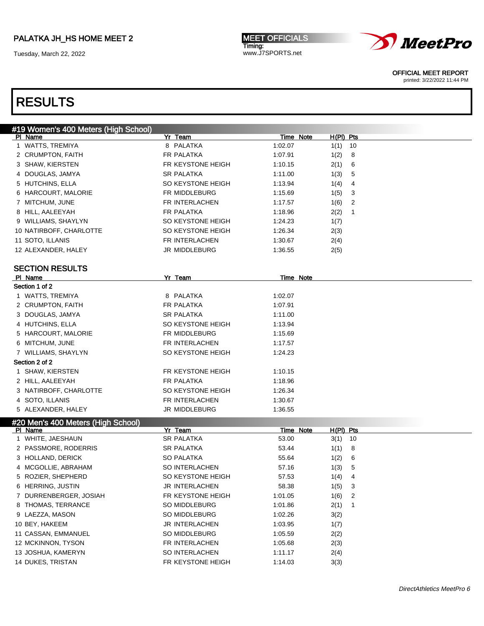Tuesday, March 22, 2022

MEET OFFICIALS Timing: www.J7SPORTS.net



OFFICIAL MEET REPORT

printed: 3/22/2022 11:44 PM

| #19 Women's 400 Meters (High School)          |                                 |                  |                        |  |
|-----------------------------------------------|---------------------------------|------------------|------------------------|--|
| PI Name                                       | Yr Team                         | Time Note        | $H(PI)$ Pts            |  |
| 1 WATTS, TREMIYA                              | 8 PALATKA                       | 1:02.07          | $1(1)$ 10              |  |
| 2 CRUMPTON, FAITH                             | FR PALATKA                      | 1:07.91          | 1(2)<br>8              |  |
| 3 SHAW, KIERSTEN                              | FR KEYSTONE HEIGH               | 1:10.15          | 2(1)<br>6              |  |
| 4 DOUGLAS, JAMYA                              | <b>SR PALATKA</b>               | 1:11.00          | 1(3)<br>5              |  |
| 5 HUTCHINS, ELLA                              | SO KEYSTONE HEIGH               | 1:13.94          | 1(4)<br>4              |  |
| 6 HARCOURT, MALORIE                           | FR MIDDLEBURG                   | 1:15.69          | 1(5)<br>3              |  |
| 7 MITCHUM, JUNE                               | FR INTERLACHEN                  | 1:17.57          | 2<br>1(6)              |  |
| 8 HILL, AALEEYAH                              | FR PALATKA                      | 1:18.96          | 2(2)<br>1              |  |
| 9 WILLIAMS, SHAYLYN                           | SO KEYSTONE HEIGH               | 1:24.23          | 1(7)                   |  |
| 10 NATIRBOFF, CHARLOTTE                       | SO KEYSTONE HEIGH               | 1:26.34          | 2(3)                   |  |
| 11 SOTO, ILLANIS                              | FR INTERLACHEN                  | 1:30.67          | 2(4)                   |  |
| 12 ALEXANDER, HALEY                           | JR MIDDLEBURG                   | 1:36.55          | 2(5)                   |  |
| <b>SECTION RESULTS</b>                        |                                 |                  |                        |  |
| PI Name                                       | Yr Team                         | Time Note        |                        |  |
| Section 1 of 2                                |                                 |                  |                        |  |
| 1 WATTS, TREMIYA                              | 8 PALATKA                       | 1:02.07          |                        |  |
| 2 CRUMPTON, FAITH                             | FR PALATKA                      | 1:07.91          |                        |  |
| 3 DOUGLAS, JAMYA                              | <b>SR PALATKA</b>               | 1:11.00          |                        |  |
| 4 HUTCHINS, ELLA                              | SO KEYSTONE HEIGH               | 1:13.94          |                        |  |
| 5 HARCOURT, MALORIE                           | FR MIDDLEBURG                   | 1:15.69          |                        |  |
| 6 MITCHUM, JUNE                               | FR INTERLACHEN                  | 1:17.57          |                        |  |
| 7 WILLIAMS, SHAYLYN                           | SO KEYSTONE HEIGH               | 1:24.23          |                        |  |
| Section 2 of 2                                |                                 |                  |                        |  |
| 1 SHAW, KIERSTEN                              | FR KEYSTONE HEIGH               | 1:10.15          |                        |  |
| 2 HILL, AALEEYAH                              | FR PALATKA                      | 1:18.96          |                        |  |
| 3 NATIRBOFF, CHARLOTTE                        | SO KEYSTONE HEIGH               | 1:26.34          |                        |  |
| 4 SOTO, ILLANIS                               | FR INTERLACHEN                  | 1:30.67          |                        |  |
| 5 ALEXANDER, HALEY                            | JR MIDDLEBURG                   | 1:36.55          |                        |  |
| #20 Men's 400 Meters (High School)<br>PI Name | Yr Team                         | <b>Time Note</b> | H(PI) Pts              |  |
| 1 WHITE, JAESHAUN                             | SR PALATKA                      | 53.00            | $3(1)$ 10              |  |
| 2 PASSMORE, RODERRIS                          | <b>SR PALATKA</b>               | 53.44            | 1(1)<br>8              |  |
| 3 HOLLAND, DERICK                             | <b>SO PALATKA</b>               | 55.64            | 1(2)<br>6              |  |
| 4 MCGOLLIE, ABRAHAM                           | SO INTERLACHEN                  | 57.16            | 5<br>1(3)              |  |
| 5 ROZIER, SHEPHERD                            | SO KEYSTONE HEIGH               | 57.53            | $\overline{4}$<br>1(4) |  |
| 6 HERRING, JUSTIN                             | JR INTERLACHEN                  | 58.38            | 1(5)<br>$\mathbf{3}$   |  |
| 7 DURRENBERGER, JOSIAH                        | FR KEYSTONE HEIGH               | 1:01.05          | 2<br>1(6)              |  |
| 8 THOMAS, TERRANCE                            | SO MIDDLEBURG                   | 1:01.86          | 2(1)<br>$\mathbf{1}$   |  |
| 9 LAEZZA, MASON                               | SO MIDDLEBURG                   | 1:02.26          | 3(2)                   |  |
| 10 BEY, HAKEEM                                | JR INTERLACHEN                  | 1:03.95          |                        |  |
| 11 CASSAN, EMMANUEL                           |                                 |                  | 1(7)                   |  |
|                                               | SO MIDDLEBURG<br>FR INTERLACHEN | 1:05.59          | 2(2)                   |  |
| 12 MCKINNON, TYSON                            |                                 | 1:05.68          | 2(3)                   |  |
| 13 JOSHUA, KAMERYN                            | SO INTERLACHEN                  | 1:11.17          | 2(4)                   |  |
| 14 DUKES, TRISTAN                             | FR KEYSTONE HEIGH               | 1:14.03          | 3(3)                   |  |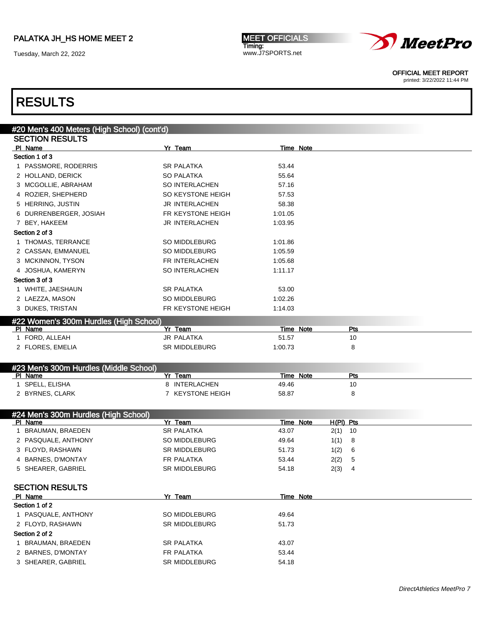Tuesday, March 22, 2022

MEET OFFICIALS Timing: www.J7SPORTS.net



OFFICIAL MEET REPORT

printed: 3/22/2022 11:44 PM

| #20 Men's 400 Meters (High School) (cont'd)       |                       |                    |             |  |
|---------------------------------------------------|-----------------------|--------------------|-------------|--|
| <b>SECTION RESULTS</b>                            |                       |                    |             |  |
| PI Name                                           | Yr Team               | Time Note          |             |  |
| Section 1 of 3                                    |                       |                    |             |  |
| 1 PASSMORE, RODERRIS                              | <b>SR PALATKA</b>     | 53.44              |             |  |
| 2 HOLLAND, DERICK                                 | <b>SO PALATKA</b>     | 55.64              |             |  |
| 3 MCGOLLIE, ABRAHAM                               | SO INTERLACHEN        | 57.16              |             |  |
| 4 ROZIER, SHEPHERD                                | SO KEYSTONE HEIGH     | 57.53              |             |  |
| 5 HERRING, JUSTIN                                 | <b>JR INTERLACHEN</b> | 58.38              |             |  |
| 6 DURRENBERGER, JOSIAH                            | FR KEYSTONE HEIGH     | 1:01.05            |             |  |
| 7 BEY, HAKEEM                                     | <b>JR INTERLACHEN</b> | 1:03.95            |             |  |
| Section 2 of 3                                    |                       |                    |             |  |
| 1 THOMAS, TERRANCE                                | SO MIDDLEBURG         | 1:01.86            |             |  |
| 2 CASSAN, EMMANUEL                                | SO MIDDLEBURG         | 1:05.59            |             |  |
| 3 MCKINNON, TYSON                                 | FR INTERLACHEN        | 1:05.68            |             |  |
| 4 JOSHUA, KAMERYN                                 | SO INTERLACHEN        | 1:11.17            |             |  |
| Section 3 of 3                                    |                       |                    |             |  |
| 1 WHITE, JAESHAUN                                 | <b>SR PALATKA</b>     | 53.00              |             |  |
| 2 LAEZZA, MASON                                   | SO MIDDLEBURG         | 1:02.26            |             |  |
| 3 DUKES, TRISTAN                                  | FR KEYSTONE HEIGH     | 1:14.03            |             |  |
|                                                   |                       |                    |             |  |
| #22 Women's 300m Hurdles (High School)            | Yr Team               |                    | Pts         |  |
| PI Name<br>1 FORD, ALLEAH                         | JR PALATKA            | Time Note<br>51.57 | 10          |  |
| 2 FLORES, EMELIA                                  | SR MIDDLEBURG         | 1:00.73            | 8           |  |
|                                                   |                       |                    |             |  |
|                                                   |                       |                    |             |  |
| #23 Men's 300m Hurdles (Middle School)<br>PI Name | Yr Team               | Time Note          | <b>Pts</b>  |  |
| 1 SPELL, ELISHA                                   | 8 INTERLACHEN         | 49.46              | 10          |  |
| 2 BYRNES, CLARK                                   | 7 KEYSTONE HEIGH      | 58.87              | 8           |  |
|                                                   |                       |                    |             |  |
|                                                   |                       |                    |             |  |
| #24 Men's 300m Hurdles (High School)<br>PI Name   | Yr Team               | <b>Time Note</b>   | $H(PI)$ Pts |  |
| 1 BRAUMAN, BRAEDEN                                | <b>SR PALATKA</b>     | 43.07              | 10<br>2(1)  |  |
| 2 PASQUALE, ANTHONY                               | SO MIDDLEBURG         | 49.64              | 1(1)<br>8   |  |
| 3 FLOYD, RASHAWN                                  | <b>SR MIDDLEBURG</b>  | 51.73              | 1(2)<br>6   |  |
| 4 BARNES, D'MONTAY                                | FR PALATKA            | 53.44              | 2(2)<br>5   |  |
| 5 SHEARER, GABRIEL                                | <b>SR MIDDLEBURG</b>  | 54.18              | 2(3)<br>4   |  |
|                                                   |                       |                    |             |  |
| <b>SECTION RESULTS</b>                            |                       |                    |             |  |
| PI Name                                           | Yr Team               | Time Note          |             |  |
| Section 1 of 2                                    |                       |                    |             |  |
| 1 PASQUALE, ANTHONY                               | SO MIDDLEBURG         | 49.64              |             |  |
| 2 FLOYD, RASHAWN                                  | SR MIDDLEBURG         | 51.73              |             |  |
| Section 2 of 2                                    |                       |                    |             |  |
| 1 BRAUMAN, BRAEDEN                                | <b>SR PALATKA</b>     | 43.07              |             |  |
| 2 BARNES, D'MONTAY                                | FR PALATKA            | 53.44              |             |  |
| 3 SHEARER, GABRIEL                                | SR MIDDLEBURG         | 54.18              |             |  |
|                                                   |                       |                    |             |  |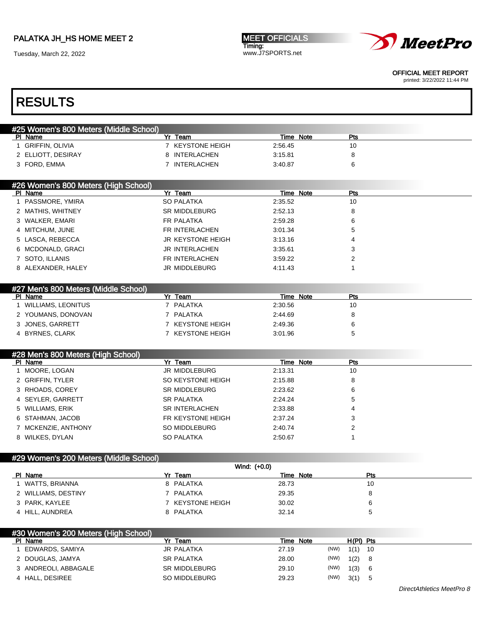Tuesday, March 22, 2022

MEET OFFICIALS Timing: www.J7SPORTS.net



OFFICIAL MEET REPORT

printed: 3/22/2022 11:44 PM

| #25 Women's 800 Meters (Middle School) |                          |              |                  |                |
|----------------------------------------|--------------------------|--------------|------------------|----------------|
| PI Name                                | Yr Team                  |              | <b>Time Note</b> | Pts            |
| 1 GRIFFIN, OLIVIA                      | 7 KEYSTONE HEIGH         | 2:56.45      |                  | 10             |
| 2 ELLIOTT, DESIRAY                     | 8 INTERLACHEN            | 3:15.81      |                  | 8              |
| 3 FORD, EMMA                           | 7 INTERLACHEN            | 3:40.87      |                  | 6              |
|                                        |                          |              |                  |                |
| #26 Women's 800 Meters (High School)   |                          |              |                  |                |
| PI Name                                | Yr Team                  |              | Time Note        | Pts            |
| 1 PASSMORE, YMIRA                      | <b>SO PALATKA</b>        | 2:35.52      |                  | 10             |
| 2 MATHIS, WHITNEY                      | <b>SR MIDDLEBURG</b>     | 2:52.13      |                  | 8              |
| 3 WALKER, EMARI                        | FR PALATKA               | 2:59.28      |                  | 6              |
| 4 MITCHUM, JUNE                        | FR INTERLACHEN           | 3:01.34      |                  | 5              |
| 5 LASCA, REBECCA                       | <b>JR KEYSTONE HEIGH</b> | 3:13.16      |                  | 4              |
| 6 MCDONALD, GRACI                      | <b>JR INTERLACHEN</b>    | 3:35.61      |                  | 3              |
| 7 SOTO, ILLANIS                        | FR INTERLACHEN           | 3:59.22      |                  | $\overline{2}$ |
| 8 ALEXANDER, HALEY                     | JR MIDDLEBURG            | 4:11.43      |                  | 1              |
|                                        |                          |              |                  |                |
| #27 Men's 800 Meters (Middle School)   |                          |              |                  |                |
| PI Name                                | Yr Team                  |              | Time Note        | Pts            |
| 1 WILLIAMS, LEONITUS                   | 7 PALATKA                | 2:30.56      |                  | 10             |
| 2 YOUMANS, DONOVAN                     | 7 PALATKA                | 2:44.69      |                  | 8              |
| 3 JONES, GARRETT                       | 7 KEYSTONE HEIGH         | 2:49.36      |                  | 6              |
| 4 BYRNES, CLARK                        | 7 KEYSTONE HEIGH         | 3:01.96      |                  | 5              |
|                                        |                          |              |                  |                |
| #28 Men's 800 Meters (High School)     |                          |              |                  |                |
|                                        |                          |              |                  |                |
| PI Name                                | Yr Team                  |              | Time Note        | Pts            |
| 1 MOORE, LOGAN                         | JR MIDDLEBURG            | 2:13.31      |                  | 10             |
| 2 GRIFFIN, TYLER                       | SO KEYSTONE HEIGH        | 2:15.88      |                  | 8              |
| 3 RHOADS, COREY                        | <b>SR MIDDLEBURG</b>     | 2:23.62      |                  | 6              |
| 4 SEYLER, GARRETT                      | <b>SR PALATKA</b>        | 2:24.24      |                  | 5              |
| 5 WILLIAMS, ERIK                       | <b>SR INTERLACHEN</b>    | 2:33.88      |                  | 4              |
| 6 STAHMAN, JACOB                       | FR KEYSTONE HEIGH        | 2:37.24      |                  | 3              |
| 7 MCKENZIE, ANTHONY                    | SO MIDDLEBURG            | 2:40.74      |                  | 2              |
| 8 WILKES, DYLAN                        | <b>SO PALATKA</b>        | 2:50.67      |                  | 1              |
|                                        |                          |              |                  |                |
|                                        |                          |              |                  |                |
| #29 Women's 200 Meters (Middle School) |                          | Wind: (+0.0) |                  |                |
| PI Name                                | Yr Team                  |              | <b>Time Note</b> | Pts            |
| 1 WATTS, BRIANNA                       | 8 PALATKA                | 28.73        |                  | 10             |
| 2 WILLIAMS, DESTINY                    | 7 PALATKA                | 29.35        |                  | 8              |
| 3 PARK, KAYLEE                         | 7 KEYSTONE HEIGH         | 30.02        |                  | 6              |
| 4 HILL, AUNDREA                        | 8 PALATKA                | 32.14        |                  | 5              |
|                                        |                          |              |                  |                |
| #30 Women's 200 Meters (High School)   |                          |              |                  |                |
| PI Name                                | Yr Team                  |              | Time Note        | H(PI) Pts      |
| 1 EDWARDS, SAMIYA                      | <b>JR PALATKA</b>        | 27.19        | (NW)             | $1(1)$ 10      |
| 2 DOUGLAS, JAMYA                       | SR PALATKA               | 28.00        | (NW)             | 1(2)<br>8      |
| 3 ANDREOLI, ABBAGALE                   | SR MIDDLEBURG            | 29.10        | (NW)             | 1(3)<br>6      |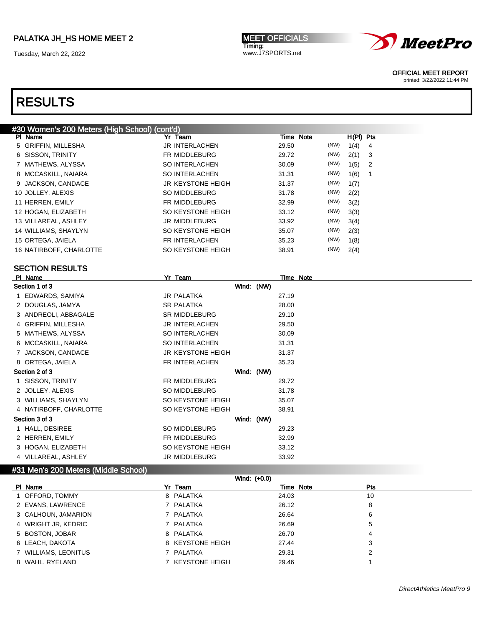Tuesday, March 22, 2022

MEET OFFICIALS Timing: www.J7SPORTS.net



OFFICIAL MEET REPORT

printed: 3/22/2022 11:44 PM

### RESULTS

#### #30 Women's 200 Meters (High School) (cont'd) Pl Name Yr Team Time Note H(Pl) Pts 5 GRIFFIN, MILLESHA JR INTERLACHEN 29.50 (NW) 1(4) 4 6 SISSON, TRINITY FR MIDDLEBURG 29.72 (NW) 2(1) 3 7 MATHEWS, ALYSSA SO INTERLACHEN 30.09 (NW) 1(5) 2 8 MCCASKILL, NAIARA SO INTERLACHEN 31.31 (NW) 1(6) 1 9 JACKSON, CANDACE JR KEYSTONE HEIGH 31.37 (NW) 1(7) 10 JOLLEY, ALEXIS SO MIDDLEBURG 31.78 (NW) 2(2) 11 HERREN, EMILY FR MIDDLEBURG 32.99 (NW) 3(2) 12 HOGAN, ELIZABETH SO KEYSTONE HEIGH 33.12 (NW) 3(3) 13 VILLAREAL, ASHLEY JR MIDDLEBURG 33.92 (NW) 3(4) 14 WILLIAMS, SHAYLYN **SO KEYSTONE HEIGH** 35.07 (NW) 2(3) 15 ORTEGA, JAIELA FR INTERLACHEN 35.23 (NW) 1(8) 16 NATIRBOFF, CHARLOTTE SO KEYSTONE HEIGH 38.91 (NW) 2(4)

#### SECTION RESULTS

| PI Name                | Yr Team                  |            |       | Time Note |
|------------------------|--------------------------|------------|-------|-----------|
| Section 1 of 3         |                          | Wind: (NW) |       |           |
| 1 EDWARDS, SAMIYA      | <b>JR PALATKA</b>        |            | 27.19 |           |
| 2 DOUGLAS, JAMYA       | <b>SR PALATKA</b>        |            | 28.00 |           |
| 3 ANDREOLI, ABBAGALE   | <b>SR MIDDLEBURG</b>     |            | 29.10 |           |
| 4 GRIFFIN, MILLESHA    | <b>JR INTERLACHEN</b>    |            | 29.50 |           |
| 5 MATHEWS, ALYSSA      | SO INTERLACHEN           |            | 30.09 |           |
| 6 MCCASKILL, NAIARA    | SO INTERLACHEN           |            | 31.31 |           |
| 7 JACKSON, CANDACE     | <b>JR KEYSTONE HEIGH</b> |            | 31.37 |           |
| 8 ORTEGA, JAIELA       | FR INTERLACHEN           |            | 35.23 |           |
| Section 2 of 3         |                          | Wind: (NW) |       |           |
| 1 SISSON, TRINITY      | FR MIDDLEBURG            |            | 29.72 |           |
| 2 JOLLEY, ALEXIS       | SO MIDDLEBURG            |            | 31.78 |           |
| 3 WILLIAMS, SHAYLYN    | SO KEYSTONE HEIGH        |            | 35.07 |           |
| 4 NATIRBOFF, CHARLOTTE | SO KEYSTONE HEIGH        |            | 38.91 |           |
| Section 3 of 3         |                          | Wind: (NW) |       |           |
| 1 HALL, DESIREE        | SO MIDDLEBURG            |            | 29.23 |           |
| 2 HERREN, EMILY        | FR MIDDLEBURG            |            | 32.99 |           |
| 3 HOGAN, ELIZABETH     | SO KEYSTONE HEIGH        |            | 33.12 |           |
| 4 VILLAREAL, ASHLEY    | JR MIDDLEBURG            |            | 33.92 |           |

#### #31 Men's 200 Meters (Middle School)

| Wind: (+0.0)         |                  |           |            |  |  |  |
|----------------------|------------------|-----------|------------|--|--|--|
| PI Name              | Yr Team          | Time Note | <b>Pts</b> |  |  |  |
| 1 OFFORD, TOMMY      | 8 PALATKA        | 24.03     | 10         |  |  |  |
| 2 EVANS, LAWRENCE    | 7 PALATKA        | 26.12     | 8          |  |  |  |
| 3 CALHOUN, JAMARION  | 7 PALATKA        | 26.64     | 6          |  |  |  |
| 4 WRIGHT JR, KEDRIC  | 7 PALATKA        | 26.69     | 5          |  |  |  |
| 5 BOSTON, JOBAR      | 8 PALATKA        | 26.70     | 4          |  |  |  |
| 6 LEACH, DAKOTA      | 8 KEYSTONE HEIGH | 27.44     | 3          |  |  |  |
| 7 WILLIAMS, LEONITUS | 7 PALATKA        | 29.31     | 2          |  |  |  |
| 8 WAHL, RYELAND      | 7 KEYSTONE HEIGH | 29.46     |            |  |  |  |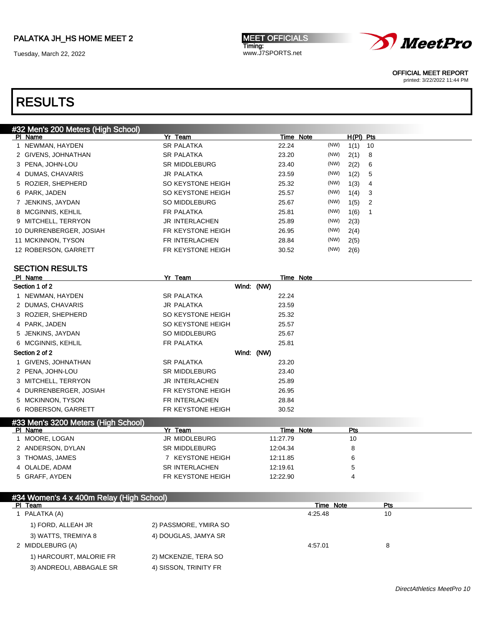Tuesday, March 22, 2022

MEET OFFICIALS Timing: www.J7SPORTS.net



OFFICIAL MEET REPORT

printed: 3/22/2022 11:44 PM

# RESULTS

| #32 Men's 200 Meters (High School) |                      |           |      |             |                |
|------------------------------------|----------------------|-----------|------|-------------|----------------|
| PI Name                            | Yr Team              | Time Note |      | $H(PI)$ Pts |                |
| 1 NEWMAN, HAYDEN                   | <b>SR PALATKA</b>    | 22.24     | (NW) | 1(1)        | -10            |
| 2 GIVENS, JOHNATHAN                | <b>SR PALATKA</b>    | 23.20     | (NW) | 2(1)        | - 8            |
| 3 PENA, JOHN-LOU                   | <b>SR MIDDLEBURG</b> | 23.40     | (NW) | 2(2)        | 6              |
| 4 DUMAS, CHAVARIS                  | JR PALATKA           | 23.59     | (NW) | 1(2)        | 5              |
| 5 ROZIER, SHEPHERD                 | SO KEYSTONE HEIGH    | 25.32     | (NW) | 1(3)        | 4              |
| 6 PARK, JADEN                      | SO KEYSTONE HEIGH    | 25.57     | (NW) | 1(4)        | 3              |
| 7 JENKINS, JAYDAN                  | SO MIDDLEBURG        | 25.67     | (NW) | 1(5)        | $\overline{2}$ |
| 8 MCGINNIS, KEHLIL                 | FR PALATKA           | 25.81     | (NW) | 1(6)        | 1              |
| 9 MITCHELL, TERRYON                | JR INTERLACHEN       | 25.89     | (NW) | 2(3)        |                |
| 10 DURRENBERGER, JOSIAH            | FR KEYSTONE HEIGH    | 26.95     | (NW) | 2(4)        |                |
| 11 MCKINNON, TYSON                 | FR INTERLACHEN       | 28.84     | (NW) | 2(5)        |                |
| 12 ROBERSON, GARRETT               | FR KEYSTONE HEIGH    | 30.52     | (NW) | 2(6)        |                |
|                                    |                      |           |      |             |                |

#### SECTION RESULTS

| PI Name                                                                                                                                                                                                                             | Yr Team              |            |       | Time Note |
|-------------------------------------------------------------------------------------------------------------------------------------------------------------------------------------------------------------------------------------|----------------------|------------|-------|-----------|
| Section 1 of 2                                                                                                                                                                                                                      |                      | Wind: (NW) |       |           |
| 1 NEWMAN, HAYDEN                                                                                                                                                                                                                    | <b>SR PALATKA</b>    |            | 22.24 |           |
| 2 DUMAS, CHAVARIS                                                                                                                                                                                                                   | JR PALATKA           |            | 23.59 |           |
| 3 ROZIER, SHEPHERD                                                                                                                                                                                                                  | SO KEYSTONE HEIGH    |            | 25.32 |           |
| 4 PARK, JADEN                                                                                                                                                                                                                       | SO KEYSTONE HEIGH    |            | 25.57 |           |
| 5 JENKINS, JAYDAN                                                                                                                                                                                                                   | SO MIDDLEBURG        |            | 25.67 |           |
| 6 MCGINNIS, KEHLIL                                                                                                                                                                                                                  | FR PALATKA           |            | 25.81 |           |
| Section 2 of 2                                                                                                                                                                                                                      |                      | Wind: (NW) |       |           |
| 1 GIVENS, JOHNATHAN                                                                                                                                                                                                                 | SR PALATKA           |            | 23.20 |           |
| 2 PENA, JOHN-LOU                                                                                                                                                                                                                    | <b>SR MIDDLEBURG</b> |            | 23.40 |           |
| 3 MITCHELL, TERRYON                                                                                                                                                                                                                 | JR INTERLACHEN       |            | 25.89 |           |
| 4 DURRENBERGER, JOSIAH                                                                                                                                                                                                              | FR KEYSTONE HEIGH    |            | 26.95 |           |
| 5 MCKINNON, TYSON                                                                                                                                                                                                                   | FR INTERLACHEN       |            | 28.84 |           |
| 6 ROBERSON, GARRETT                                                                                                                                                                                                                 | FR KEYSTONE HEIGH    |            | 30.52 |           |
| the property of the control of the control of the control of the control of the control of the control of the control of the control of the control of the control of the control of the control of the control of the control<br>. |                      |            |       |           |

#### #33 Men's 3200 Meters (High School) Pl Name Yr Team Time Note Pts

| MOORE, LOGAN      | JR MIDDLEBURG     | 11:27.79 | 1 C |  |
|-------------------|-------------------|----------|-----|--|
| 2 ANDERSON, DYLAN | SR MIDDLEBURG     | 12:04.34 |     |  |
| 3 THOMAS, JAMES   | 7 KEYSTONE HEIGH  | 12:11.85 |     |  |
| 4 OLALDE, ADAM    | SR INTERLACHEN    | 12:19.61 |     |  |
| 5 GRAFF, AYDEN    | FR KEYSTONE HEIGH | 12:22.90 |     |  |
|                   |                   |          |     |  |

| #34 Women's 4 x 400m Relay (High School) |                       |           |     |  |
|------------------------------------------|-----------------------|-----------|-----|--|
| PI Team                                  |                       | Time Note | Pts |  |
| I PALATKA (A)                            |                       | 4:25.48   | 10  |  |
| 1) FORD, ALLEAH JR                       | 2) PASSMORE, YMIRA SO |           |     |  |
| 3) WATTS, TREMIYA 8                      | 4) DOUGLAS, JAMYA SR  |           |     |  |
| 2 MIDDLEBURG (A)                         |                       | 4:57.01   | 8   |  |
| 1) HARCOURT, MALORIE FR                  | 2) MCKENZIE, TERA SO  |           |     |  |
| 3) ANDREOLI, ABBAGALE SR                 | 4) SISSON, TRINITY FR |           |     |  |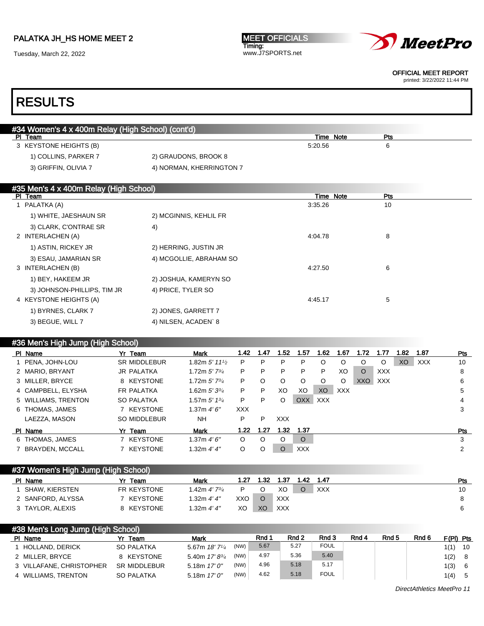Tuesday, March 22, 2022





OFFICIAL MEET REPORT

printed: 3/22/2022 11:44 PM

# RESULTS

| #34 Women's 4 x 400m Relay (High School) (cont'd) |                          |           |     |  |
|---------------------------------------------------|--------------------------|-----------|-----|--|
| PI Team                                           |                          | Time Note | Pts |  |
| 3 KEYSTONE HEIGHTS (B)                            |                          | 5:20.56   | 6   |  |
| 1) COLLINS, PARKER 7                              | 2) GRAUDONS, BROOK 8     |           |     |  |
| 3) GRIFFIN, OLIVIA 7                              | 4) NORMAN, KHERRINGTON 7 |           |     |  |
|                                                   |                          |           |     |  |

### #35 Men's 4 x 400m Relay (High School)

| PI Team                     |                         | Time Note | Pts |
|-----------------------------|-------------------------|-----------|-----|
| 1 PALATKA (A)               |                         | 3:35.26   | 10  |
| 1) WHITE, JAESHAUN SR       | 2) MCGINNIS, KEHLIL FR  |           |     |
| 3) CLARK, C'ONTRAE SR       | 4)                      |           |     |
| 2 INTERLACHEN (A)           |                         | 4:04.78   | 8   |
| 1) ASTIN, RICKEY JR         | 2) HERRING, JUSTIN JR   |           |     |
| 3) ESAU, JAMARIAN SR        | 4) MCGOLLIE, ABRAHAM SO |           |     |
| 3 INTERLACHEN (B)           |                         | 4:27.50   | 6   |
| 1) BEY, HAKEEM JR           | 2) JOSHUA, KAMERYN SO   |           |     |
| 3) JOHNSON-PHILLIPS, TIM JR | 4) PRICE, TYLER SO      |           |     |
| 4 KEYSTONE HEIGHTS (A)      |                         | 4:45.17   | 5   |
| 1) BYRNES, CLARK 7          | 2) JONES, GARRETT 7     |           |     |
| 3) BEGUE, WILL 7            | 4) NILSEN, ACADEN`8     |           |     |

#### #36 Men's High Jump (High School)

| PI Name             | Yr Team             | <b>Mark</b>                 | 1.42    | 1.47    | 1.52       | 1.57       | 1.62           | 1.67       | 1.72    | 1.77       | 1.82 | 1.87       | Pts |
|---------------------|---------------------|-----------------------------|---------|---------|------------|------------|----------------|------------|---------|------------|------|------------|-----|
| 1 PENA, JOHN-LOU    | <b>SR MIDDLEBUR</b> | 1.82m $5'$ 11 $\frac{1}{2}$ | P       | P       | P          | P          | O              | $\circ$    | O       | O          | XO   | <b>XXX</b> | 10  |
| 2 MARIO, BRYANT     | JR PALATKA          | 1.72m $5'$ 7 $\frac{3}{4}$  | P       | P       | P          | P          | P              | XO         | $\circ$ | <b>XXX</b> |      |            | 8   |
| 3 MILLER, BRYCE     | 8 KEYSTONE          | 1.72m $5'$ 7 $\frac{3}{4}$  | P       | O       | O          | O          | O              | $\circ$    | XXO     | XXX        |      |            | 6   |
| 4 CAMPBELL, ELYSHA  | FR PALATKA          | 1.62m $5'3^{3/4}$           | P       | P       | XO         | XO         | X <sub>O</sub> | <b>XXX</b> |         |            |      |            | 5   |
| 5 WILLIAMS, TRENTON | <b>SO PALATKA</b>   | 1.57m $5'$ 1 $3/4$          | P       | P       | O          | <b>OXX</b> | <b>XXX</b>     |            |         |            |      |            | 4   |
| 6 THOMAS, JAMES     | 7 KEYSTONE          | 1.37m $4'6''$               | XXX.    |         |            |            |                |            |         |            |      |            | 3   |
| LAEZZA, MASON       | SO MIDDLEBUR        | <b>NH</b>                   | P       | P       | <b>XXX</b> |            |                |            |         |            |      |            |     |
| PI Name             | Yr Team             | <b>Mark</b>                 | 1.22    | 1.27    | 1.32       | 1.37       |                |            |         |            |      |            | Pts |
| 6 THOMAS, JAMES     | 7 KEYSTONE          | 1.37m $4'6''$               | $\circ$ | $\circ$ | O          | $\circ$    |                |            |         |            |      |            | 3   |
| 7 BRAYDEN, MCCALL   | 7 KEYSTONE          | 1.32m $4'4''$               | O       | O       | O          | <b>XXX</b> |                |            |         |            |      |            | 2   |

### #37 Women's High Jump (High School)

| PI Name           | Team        | <b>Mark</b>                      | 1.27 | - 32 | 1.37       | 1.42. | 1.47 | Pts |
|-------------------|-------------|----------------------------------|------|------|------------|-------|------|-----|
| SHAW. KIERSTEN    | FR KEYSTONE | l .42m <i>4' 7<sup>3/</sup>4</i> |      |      | XO         |       | XXX  | 10  |
| 2 SANFORD, ALYSSA | 7 KEYSTONE  | 1.32m <i>4' 4"</i>               | XXO  |      | <b>XXX</b> |       |      |     |
| 3 TAYLOR, ALEXIS  | 8 KEYSTONE  | 1.32m 4'4''                      | XO   | XO   | XXX        |       |      |     |

| F(PI) Pts |     |
|-----------|-----|
| 1(1)      | 10  |
| 1(2)      | - 8 |
| 1(3)      | - 6 |
| 1(4)      | 5   |
|           |     |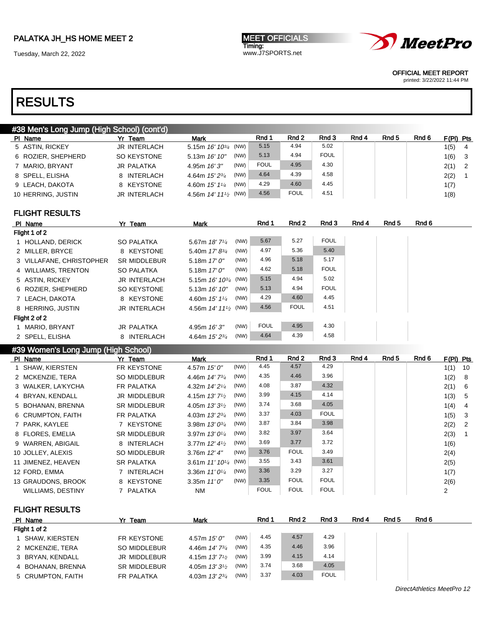Tuesday, March 22, 2022

MEET OFFICIALS Timing: www.J7SPORTS.net



OFFICIAL MEET REPORT

printed: 3/22/2022 11:44 PM

# RESULTS

|                    | #38 Men's Long Jump (High School) (cont'd) |              |                                     |      |             |             |             |       |                  |       |             |                         |
|--------------------|--------------------------------------------|--------------|-------------------------------------|------|-------------|-------------|-------------|-------|------------------|-------|-------------|-------------------------|
| PI Name            |                                            | Yr Team      | <b>Mark</b>                         |      | Rnd 1       | Rnd 2       | Rnd 3       | Rnd 4 | Rnd <sub>5</sub> | Rnd 6 | $F(PI)$ Pts |                         |
| 5 ASTIN, RICKEY    |                                            | JR INTERLACH | 5.15m $16'$ $10^{3/4}$ (NW)         |      | 5.15        | 4.94        | 5.02        |       |                  |       | 1(5)        | $\overline{4}$          |
| 6 ROZIER, SHEPHERD |                                            | SO KEYSTONE  | 5.13m 16' 10"                       | (NW) | 5.13        | 4.94        | <b>FOUL</b> |       |                  |       | 1(6)        | $\overline{\mathbf{3}}$ |
| 7 MARIO, BRYANT    |                                            | JR PALATKA   | 4.95m $16'3''$                      | (NW) | <b>FOUL</b> | 4.95        | 4.30        |       |                  |       | $2(1)$ 2    |                         |
| 8 SPELL, ELISHA    |                                            | 8 INTERLACH  | 4.64m $15'2^{3/4}$                  | (NW) | 4.64        | 4.39        | 4.58        |       |                  |       | 2(2)        |                         |
| 9 LEACH, DAKOTA    |                                            | 8 KEYSTONE   | 4.60m $15'$ $1\frac{1}{4}$          | (NW) | 4.29        | 4.60        | 4.45        |       |                  |       | 1(7)        |                         |
| 10 HERRING, JUSTIN |                                            | JR INTERLACH | 4.56m $14'$ $11'$ <sup>2</sup> (NW) |      | 4.56        | <b>FOUL</b> | 4.51        |       |                  |       | 1(8)        |                         |
|                    |                                            |              |                                     |      |             |             |             |       |                  |       |             |                         |

#### FLIGHT RESULTS

| PI Name                  | Yr Team             | <b>Mark</b>                                   |      | Rnd 1       | Rnd 2       | Rnd 3       | Rnd 4 | Rnd 5 | Rnd 6 |
|--------------------------|---------------------|-----------------------------------------------|------|-------------|-------------|-------------|-------|-------|-------|
| Flight 1 of 2            |                     |                                               |      |             |             |             |       |       |       |
| 1 HOLLAND, DERICK        | SO PALATKA          | 5.67m $18'$ 7 $\frac{1}{4}$                   | (NW) | 5.67        | 5.27        | <b>FOUL</b> |       |       |       |
| 2 MILLER, BRYCE          | 8 KEYSTONE          | 5.40m $17' 8^{3/4}$                           | (NW) | 4.97        | 5.36        | 5.40        |       |       |       |
| 3 VILLAFANE, CHRISTOPHER | <b>SR MIDDLEBUR</b> | 5.18m $17'0''$                                | (NW) | 4.96        | 5.18        | 5.17        |       |       |       |
| 4 WILLIAMS, TRENTON      | SO PALATKA          | 5.18m $17'0''$                                | (NW) | 4.62        | 5.18        | <b>FOUL</b> |       |       |       |
| 5 ASTIN, RICKEY          | <b>JR INTERLACH</b> | 5.15m $16'$ $10^{3/4}$ (NW)                   |      | 5.15        | 4.94        | 5.02        |       |       |       |
| 6 ROZIER, SHEPHERD       | SO KEYSTONE         | 5.13m $16'10''$                               | (NW) | 5.13        | 4.94        | <b>FOUL</b> |       |       |       |
| 7 LEACH, DAKOTA          | 8 KEYSTONE          | 4.60m $15'$ $1\frac{1}{4}$                    | (NW) | 4.29        | 4.60        | 4.45        |       |       |       |
| 8 HERRING, JUSTIN        | <b>JR INTERLACH</b> | 4.56m 14' 11 <sup>1</sup> / <sub>2</sub> (NW) |      | 4.56        | <b>FOUL</b> | 4.51        |       |       |       |
| Flight 2 of 2            |                     |                                               |      |             |             |             |       |       |       |
| 1 MARIO, BRYANT          | JR PALATKA          | 4.95m $16'3''$                                | (NW) | <b>FOUL</b> | 4.95        | 4.30        |       |       |       |
| 2 SPELL, ELISHA          | 8 INTERLACH         | 4.64m $15'2^{3/4}$                            | (NW) | 4.64        | 4.39        | 4.58        |       |       |       |

#### #39 Women's Long Jump (High School)

| PI Name                  | Yr Team             | Mark                        |      | Rnd 1       | Rnd 2       | Rnd 3       | Rnd 4 | Rnd 5 | Rnd 6 | $F(PI)$ Pts |     |
|--------------------------|---------------------|-----------------------------|------|-------------|-------------|-------------|-------|-------|-------|-------------|-----|
| 1 SHAW, KIERSTEN         | FR KEYSTONE         | 4.57m $15'0''$              | (NW) | 4.45        | 4.57        | 4.29        |       |       |       | 1(1)        | 10  |
| 2 MCKENZIE, TERA         | <b>SO MIDDLEBUR</b> | 4.46m 14' 73/4              | (NW) | 4.35        | 4.46        | 3.96        |       |       |       | 1(2)        | -8  |
| 3 WALKER, LA'KYCHA       | FR PALATKA          | 4.32m 14' 21/4              | (NW) | 4.08        | 3.87        | 4.32        |       |       |       | 2(1)        | - 6 |
| 4 BRYAN, KENDALL         | JR MIDDLEBUR        | 4.15m $13'$ $7\frac{1}{2}$  | (NW) | 3.99        | 4.15        | 4.14        |       |       |       | 1(3)        | -5  |
| 5 BOHANAN, BRENNA        | <b>SR MIDDLEBUR</b> | 4.05m $13'3'$               | (NW) | 3.74        | 3.68        | 4.05        |       |       |       | 1(4)        | -4  |
| 6 CRUMPTON, FAITH        | FR PALATKA          | 4.03m 13' 23/4              | (NW) | 3.37        | 4.03        | <b>FOUL</b> |       |       |       | 1(5)        | -3  |
| 7 PARK, KAYLEE           | 7 KEYSTONE          | 3.98m 13' 03/4              | (NW) | 3.87        | 3.84        | 3.98        |       |       |       | 2(2)        | -2  |
| 8 FLORES, EMELIA         | <b>SR MIDDLEBUR</b> | 3.97m $13'0\frac{1}{4}$     | (NW) | 3.82        | 3.97        | 3.64        |       |       |       | 2(3)        |     |
| 9 WARREN, ABIGAIL        | 8 INTERLACH         | 3.77m $12'$ 4 $\frac{1}{2}$ | (NW) | 3.69        | 3.77        | 3.72        |       |       |       | 1(6)        |     |
| 10 JOLLEY, ALEXIS        | SO MIDDLEBUR        | 3.76m $12'$ 4"              | (NW) | 3.76        | <b>FOUL</b> | 3.49        |       |       |       | 2(4)        |     |
| 11 JIMENEZ, HEAVEN       | <b>SR PALATKA</b>   | 3.61m $11'10^{1/4}$ (NW)    |      | 3.55        | 3.43        | 3.61        |       |       |       | 2(5)        |     |
| 12 FORD, EMMA            | 7 INTERLACH         | 3.36m $11'0^{1/4}$          | (NW) | 3.36        | 3.29        | 3.27        |       |       |       | 1(7)        |     |
| 13 GRAUDONS, BROOK       | 8 KEYSTONE          | 3.35m $11'0''$              | (NW) | 3.35        | <b>FOUL</b> | <b>FOUL</b> |       |       |       | 2(6)        |     |
| <b>WILLIAMS, DESTINY</b> | 7 PALATKA           | <b>NM</b>                   |      | <b>FOUL</b> | <b>FOUL</b> | <b>FOUL</b> |       |       |       | 2           |     |

FLIGHT RESULTS

| PI Name           | Yr Team             | <b>Mark</b>                                       | Rnd 1 | Rnd 2 | Rnd 3       | Rnd 4 | Rnd 5 | Rnd 6 |
|-------------------|---------------------|---------------------------------------------------|-------|-------|-------------|-------|-------|-------|
| Flight 1 of 2     |                     |                                                   |       |       |             |       |       |       |
| 1 SHAW. KIERSTEN  | FR KEYSTONE         | (NW)<br>$4.57m$ $15'0''$                          | 4.45  | 4.57  | 4.29        |       |       |       |
| 2 MCKENZIE, TERA  | SO MIDDLEBUR        | (NW)<br>4.46m $14'$ 7 $\frac{3}{4}$               | 4.35  | 4.46  | 3.96        |       |       |       |
| 3 BRYAN, KENDALL  | JR MIDDLEBUR        | (NW)<br>4.15m $13'$ 7 <sup>1</sup> / <sub>2</sub> | 3.99  | 4.15  | 4.14        |       |       |       |
| 4 BOHANAN, BRENNA | <b>SR MIDDLEBUR</b> | (NW)<br>4.05m $13'3\frac{1}{2}$                   | 3.74  | 3.68  | 4.05        |       |       |       |
| 5 CRUMPTON, FAITH | FR PALATKA          | (NW)<br>4.03m $13'2^{3/4}$                        | 3.37  | 4.03  | <b>FOUL</b> |       |       |       |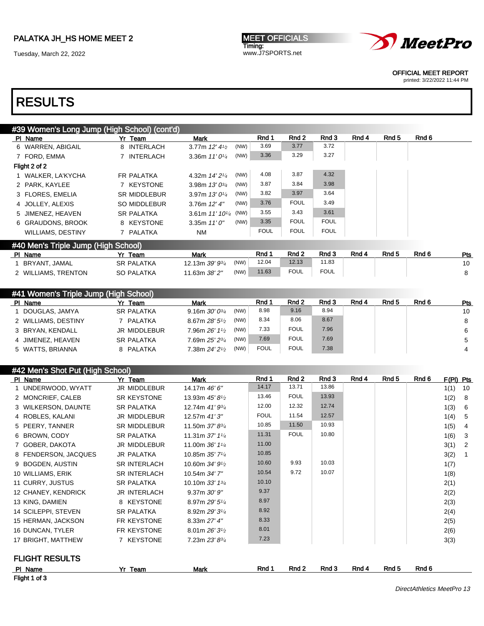Tuesday, March 22, 2022

**MEET OFFICIALS** Timing: www.J7SPORTS.net



OFFICIAL MEET REPORT

printed: 3/22/2022 11:44 PM

# RESULTS

| #39 Women's Long Jump (High School) (cont'd) |                     |                                     |             |             |             |       |       |       |
|----------------------------------------------|---------------------|-------------------------------------|-------------|-------------|-------------|-------|-------|-------|
| PI Name                                      | Yr Team             | Mark                                | Rnd 1       | Rnd 2       | Rnd 3       | Rnd 4 | Rnd 5 | Rnd 6 |
| 6 WARREN, ABIGAIL                            | 8 INTERLACH         | (NW)<br>3.77m $12'$ 4 $\frac{1}{2}$ | 3.69        | 3.77        | 3.72        |       |       |       |
| 7 FORD, EMMA                                 | 7 INTERLACH         | (NW)<br>3.36m $11'0\frac{1}{4}$     | 3.36        | 3.29        | 3.27        |       |       |       |
| Flight 2 of 2                                |                     |                                     |             |             |             |       |       |       |
| WALKER, LA'KYCHA                             | <b>FR PALATKA</b>   | (NW)<br>4.32m 14' 21/4              | 4.08        | 3.87        | 4.32        |       |       |       |
| 2 PARK, KAYLEE                               | 7 KEYSTONE          | (NW)<br>3.98m $13'0^{3/4}$          | 3.87        | 3.84        | 3.98        |       |       |       |
| 3 FLORES, EMELIA                             | <b>SR MIDDLEBUR</b> | (NW)<br>3.97m $13'0\frac{1}{4}$     | 3.82        | 3.97        | 3.64        |       |       |       |
| 4 JOLLEY, ALEXIS                             | SO MIDDLEBUR        | (NW)<br>3.76m $12'$ 4"              | 3.76        | <b>FOUL</b> | 3.49        |       |       |       |
| 5 JIMENEZ, HEAVEN                            | <b>SR PALATKA</b>   | (NW)<br>3.61m $11'$ $10\frac{1}{4}$ | 3.55        | 3.43        | 3.61        |       |       |       |
| 6 GRAUDONS, BROOK                            | 8 KEYSTONE          | (NW)<br>3.35m $11'0''$              | 3.35        | <b>FOUL</b> | <b>FOUL</b> |       |       |       |
| <b>WILLIAMS, DESTINY</b>                     | 7 PALATKA           | <b>NM</b>                           | <b>FOUL</b> | <b>FOUL</b> | <b>FOUL</b> |       |       |       |
| #40 Men's Triple Jump (High School)          |                     |                                     |             |             |             |       |       |       |

| PI Name             | Team              | Mark           |      | Rnd 1 | Rnd <sub>2</sub> | Rnd 3       | Rnd 4 | Rnd 5 | Rnd 6 | Pts |
|---------------------|-------------------|----------------|------|-------|------------------|-------------|-------|-------|-------|-----|
| BRYANT, JAMAL       | <b>SR PALATKA</b> | 12.13m 39' 934 | (NW) | 12.04 | 12.13            | 11.83       |       |       |       | 10  |
| 2 WILLIAMS, TRENTON | <b>SO PALATKA</b> | 11.63m 38' 2"  | (NW) | 11.63 | <b>FOUL</b>      | <b>FOUL</b> |       |       |       |     |
|                     |                   |                |      |       |                  |             |       |       |       |     |

| #41 Women's Triple Jump (High School) |                   |                                 |             |                  |       |       |       |       |     |  |
|---------------------------------------|-------------------|---------------------------------|-------------|------------------|-------|-------|-------|-------|-----|--|
| PI Name                               | Yr Team           | <b>Mark</b>                     | Rnd 1       | Rnd <sub>2</sub> | Rnd 3 | Rnd 4 | Rnd 5 | Rnd 6 | Pts |  |
| DOUGLAS, JAMYA                        | <b>SR PALATKA</b> | (NW)<br>9.16m $30'0^{3}/4$      | 8.98        | 9.16             | 8.94  |       |       |       | 10  |  |
| 2 WILLIAMS, DESTINY                   | PALATKA           | (NW)<br>8.67m $28'5\frac{1}{2}$ | 8.34        | 8.06             | 8.67  |       |       |       | 8   |  |
| 3 BRYAN, KENDALL                      | JR MIDDLEBUR      | (NW)<br>7.96m $26'1\%$          | 7.33        | <b>FOUL</b>      | 7.96  |       |       |       | 6   |  |
| 4 JIMENEZ, HEAVEN                     | <b>SR PALATKA</b> | (NW)<br>7.69m 25' 23/4          | 7.69        | <b>FOUL</b>      | 7.69  |       |       |       | 5   |  |
| 5 WATTS, BRIANNA                      | 8 PALATKA         | (NW)<br>7.38m $24'2'$           | <b>FOUL</b> | <b>FOUL</b>      | 7.38  |       |       |       |     |  |

#### #42 Men's Shot Put (High School)

| PI Name               | Yr Team             | Mark                                     | Rnd 1       | Rnd 2       | Rnd 3 | Rnd 4 | Rnd 5 | Rnd 6 | $F(PI)$ Pts |                |
|-----------------------|---------------------|------------------------------------------|-------------|-------------|-------|-------|-------|-------|-------------|----------------|
| 1 UNDERWOOD, WYATT    | JR MIDDLEBUR        | 14.17m 46' 6"                            | 14.17       | 13.71       | 13.86 |       |       |       | $1(1)$ 10   |                |
| 2 MONCRIEF, CALEB     | SR KEYSTONE         | 13.93m 45' 81/2                          | 13.46       | <b>FOUL</b> | 13.93 |       |       |       | 1(2)        | - 8            |
| 3 WILKERSON, DAUNTE   | <b>SR PALATKA</b>   | 12.74m 41' 93/4                          | 12.00       | 12.32       | 12.74 |       |       |       | 1(3)        | 6              |
| 4 ROBLES, KALANI      | <b>JR MIDDLEBUR</b> | 12.57m 41'3"                             | <b>FOUL</b> | 11.54       | 12.57 |       |       |       | 1(4)        | - 5            |
| 5 PEERY, TANNER       | <b>SR MIDDLEBUR</b> | 11.50m 37' 83/4                          | 10.85       | 11.50       | 10.93 |       |       |       | 1(5)        | $\overline{4}$ |
| 6 BROWN, CODY         | <b>SR PALATKA</b>   | 11.31m $37'$ $1\frac{1}{4}$              | 11.31       | <b>FOUL</b> | 10.80 |       |       |       | 1(6)        | 3              |
| 7 GOBER, DAKOTA       | <b>JR MIDDLEBUR</b> | 11.00m 36' 11/4                          | 11.00       |             |       |       |       |       | 3(1)        | $\overline{2}$ |
| 8 FENDERSON, JACQUES  | <b>JR PALATKA</b>   | 10.85m 35' 71/4                          | 10.85       |             |       |       |       |       | 3(2)        |                |
| 9 BOGDEN, AUSTIN      | <b>SR INTERLACH</b> | 10.60m 34' 9 <sup>1</sup> / <sub>2</sub> | 10.60       | 9.93        | 10.03 |       |       |       | 1(7)        |                |
| 10 WILLIAMS, ERIK     | <b>SR INTERLACH</b> | 10.54m 34' 7"                            | 10.54       | 9.72        | 10.07 |       |       |       | 1(8)        |                |
| 11 CURRY, JUSTUS      | SR PALATKA          | 10.10m 33' 134                           | 10.10       |             |       |       |       |       | 2(1)        |                |
| 12 CHANEY, KENDRICK   | <b>JR INTERLACH</b> | $9.37m$ $30'$ $9''$                      | 9.37        |             |       |       |       |       | 2(2)        |                |
| 13 KING, DAMIEN       | 8 KEYSTONE          | 8.97m 29' 51/4                           | 8.97        |             |       |       |       |       | 2(3)        |                |
| 14 SCILEPPI, STEVEN   | <b>SR PALATKA</b>   | 8.92m 29' 31/4                           | 8.92        |             |       |       |       |       | 2(4)        |                |
| 15 HERMAN, JACKSON    | FR KEYSTONE         | 8.33m 27' 4"                             | 8.33        |             |       |       |       |       | 2(5)        |                |
| 16 DUNCAN, TYLER      | FR KEYSTONE         | 8.01m $26'3^{1/2}$                       | 8.01        |             |       |       |       |       | 2(6)        |                |
| 17 BRIGHT, MATTHEW    | 7 KEYSTONE          | $7.23m 23' 8\frac{3}{4}$                 | 7.23        |             |       |       |       |       | 3(3)        |                |
|                       |                     |                                          |             |             |       |       |       |       |             |                |
| <b>FLIGHT RESULTS</b> |                     |                                          |             |             |       |       |       |       |             |                |
| PI Name               | Yr Team             | Mark                                     | Rnd 1       | Rnd 2       | Rnd 3 | Rnd 4 | Rnd 5 | Rnd 6 |             |                |
| Flight 1 of 3         |                     |                                          |             |             |       |       |       |       |             |                |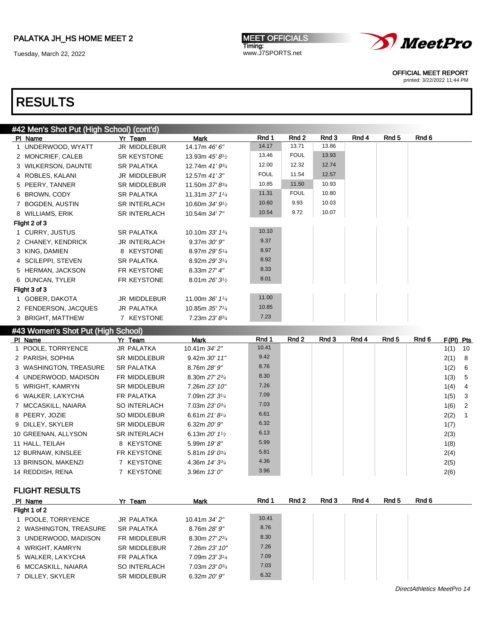Tuesday, March 22, 2022

**MEET OFFICIALS** Timing: www.J7SPORTS.net



OFFICIAL MEET REPORT

printed: 3/22/2022 11:44 PM

# RESULTS

| #42 Men's Shot Put (High School) (cont'd) |                     |                               |             |             |       |       |       |       |
|-------------------------------------------|---------------------|-------------------------------|-------------|-------------|-------|-------|-------|-------|
| PI Name                                   | Yr Team             | <b>Mark</b>                   | Rnd 1       | Rnd 2       | Rnd 3 | Rnd 4 | Rnd 5 | Rnd 6 |
| 1 UNDERWOOD, WYATT                        | JR MIDDLEBUR        | 14.17m 46' 6"                 | 14.17       | 13.71       | 13.86 |       |       |       |
| 2 MONCRIEF, CALEB                         | SR KEYSTONE         | 13.93m 45' 81/2               | 13.46       | <b>FOUL</b> | 13.93 |       |       |       |
| 3 WILKERSON, DAUNTE                       | <b>SR PALATKA</b>   | 12.74m 41' 93/4               | 12.00       | 12.32       | 12.74 |       |       |       |
| 4 ROBLES, KALANI                          | JR MIDDLEBUR        | 12.57m 41'3"                  | <b>FOUL</b> | 11.54       | 12.57 |       |       |       |
| 5 PEERY, TANNER                           | SR MIDDLEBUR        | 11.50m 37' 83/4               | 10.85       | 11.50       | 10.93 |       |       |       |
| 6 BROWN, CODY                             | <b>SR PALATKA</b>   | 11.31m $37'$ 1 <sup>1/4</sup> | 11.31       | <b>FOUL</b> | 10.80 |       |       |       |
| 7 BOGDEN, AUSTIN                          | <b>SR INTERLACH</b> | 10.60m $34'9_{1/2}$           | 10.60       | 9.93        | 10.03 |       |       |       |
| 8 WILLIAMS, ERIK                          | <b>SR INTERLACH</b> | 10.54m 34' 7"                 | 10.54       | 9.72        | 10.07 |       |       |       |
| Flight 2 of 3                             |                     |                               |             |             |       |       |       |       |
| 1 CURRY, JUSTUS                           | <b>SR PALATKA</b>   | 10.10m $33'$ 1 $\frac{3}{4}$  | 10.10       |             |       |       |       |       |
| 2 CHANEY, KENDRICK                        | <b>JR INTERLACH</b> | $9.37m$ $30'$ $9''$           | 9.37        |             |       |       |       |       |
| 3 KING, DAMIEN                            | 8 KEYSTONE          | 8.97m 29' 51/4                | 8.97        |             |       |       |       |       |
| 4 SCILEPPI, STEVEN                        | <b>SR PALATKA</b>   | 8.92m 29' 31/4                | 8.92        |             |       |       |       |       |
| 5 HERMAN, JACKSON                         | FR KEYSTONE         | 8.33m 27' 4"                  | 8.33        |             |       |       |       |       |
| 6 DUNCAN, TYLER                           | FR KEYSTONE         | 8.01m $26'3^{1/2}$            | 8.01        |             |       |       |       |       |
| Flight 3 of 3                             |                     |                               |             |             |       |       |       |       |
| 1 GOBER, DAKOTA                           | JR MIDDLEBUR        | 11.00m $36'$ 1 <sup>1/4</sup> | 11.00       |             |       |       |       |       |
| 2 FENDERSON, JACQUES                      | JR PALATKA          | 10.85m 35' 71/4               | 10.85       |             |       |       |       |       |
| 3 BRIGHT, MATTHEW                         | 7 KEYSTONE          | 7.23m 23' 83/4                | 7.23        |             |       |       |       |       |
|                                           |                     |                               |             |             |       |       |       |       |

#### #43 Women's Shot Put (High School)

| PI Name                | Yr Team             | Mark                                      | Rnd 1 | Rnd 2 | Rnd 3 | Rnd 4 | Rnd 5 | Rnd 6 | $F(PI)$ Pts |                |
|------------------------|---------------------|-------------------------------------------|-------|-------|-------|-------|-------|-------|-------------|----------------|
| 1 POOLE, TORRYENCE     | JR PALATKA          | 10.41m 34' 2"                             | 10.41 |       |       |       |       |       | 1(1)        | - 10           |
| 2 PARISH, SOPHIA       | <b>SR MIDDLEBUR</b> | 9.42m 30' 11"                             | 9.42  |       |       |       |       |       | 2(1)        | - 8            |
| 3 WASHINGTON, TREASURE | SR PALATKA          | 8.76m 28' 9"                              | 8.76  |       |       |       |       |       | 1(2)        | - 6            |
| 4 UNDERWOOD, MADISON   | FR MIDDLEBUR        | 8.30m 27' 23/4                            | 8.30  |       |       |       |       |       | 1(3)        | - 5            |
| 5 WRIGHT, KAMRYN       | <b>SR MIDDLEBUR</b> | 7.26m 23' 10"                             | 7.26  |       |       |       |       |       | 1(4)        | -4             |
| 6 WALKER, LA'KYCHA     | FR PALATKA          | 7.09m 23' 31/4                            | 7.09  |       |       |       |       |       | 1(5)        | - 3            |
| 7 MCCASKILL, NAIARA    | <b>SO INTERLACH</b> | 7.03m $23'0^{3/4}$                        | 7.03  |       |       |       |       |       | 1(6)        | $\overline{2}$ |
| 8 PEERY, JOZIE         | SO MIDDLEBUR        | 6.61m $21'8\frac{1}{4}$                   | 6.61  |       |       |       |       |       | 2(2)        |                |
| 9 DILLEY, SKYLER       | <b>SR MIDDLEBUR</b> | 6.32m $20'9''$                            | 6.32  |       |       |       |       |       | 1(7)        |                |
| 10 GREENAN, ALLYSON    | <b>SR INTERLACH</b> | 6.13m $20'$ 1 <sup>1</sup> / <sub>2</sub> | 6.13  |       |       |       |       |       | 2(3)        |                |
| 11 HALL, TEILAH        | 8 KEYSTONE          | 5.99m 19'8"                               | 5.99  |       |       |       |       |       | 1(8)        |                |
| 12 BURNAW, KINSLEE     | FR KEYSTONE         | 5.81m $19'0^{3/4}$                        | 5.81  |       |       |       |       |       | 2(4)        |                |
| 13 BRINSON, MAKENZI    | 7 KEYSTONE          | 4.36m $14'3^{3/4}$                        | 4.36  |       |       |       |       |       | 2(5)        |                |
| 14 REDDISH, RENA       | 7 KEYSTONE          | 3.96m $13'0''$                            | 3.96  |       |       |       |       |       | 2(6)        |                |

FLIGHT RESULTS

| PI Name                | Yr Team             | <b>Mark</b>               | Rnd 1 | Rnd 2 | Rnd 3 | Rnd 4 | Rnd 5 | Rnd 6 |
|------------------------|---------------------|---------------------------|-------|-------|-------|-------|-------|-------|
| Flight 1 of 2          |                     |                           |       |       |       |       |       |       |
| 1 POOLE, TORRYENCE     | JR PALATKA          | 10.41m 34' 2"             | 10.41 |       |       |       |       |       |
| 2 WASHINGTON, TREASURE | <b>SR PALATKA</b>   | 8.76m 28' 9"              | 8.76  |       |       |       |       |       |
| 3 UNDERWOOD, MADISON   | FR MIDDLEBUR        | 8.30m 27' 23/4            | 8.30  |       |       |       |       |       |
| 4 WRIGHT, KAMRYN       | <b>SR MIDDLEBUR</b> | 7.26m 23' 10"             | 7.26  |       |       |       |       |       |
| 5 WALKER, LA'KYCHA     | FR PALATKA          | 7.09m 23' 31/4            | 7.09  |       |       |       |       |       |
| 6 MCCASKILL, NAIARA    | SO INTERLACH        | $7.03m$ $23'0\frac{3}{4}$ | 7.03  |       |       |       |       |       |
| 7 DILLEY, SKYLER       | <b>SR MIDDLEBUR</b> | 6.32m $20'9''$            | 6.32  |       |       |       |       |       |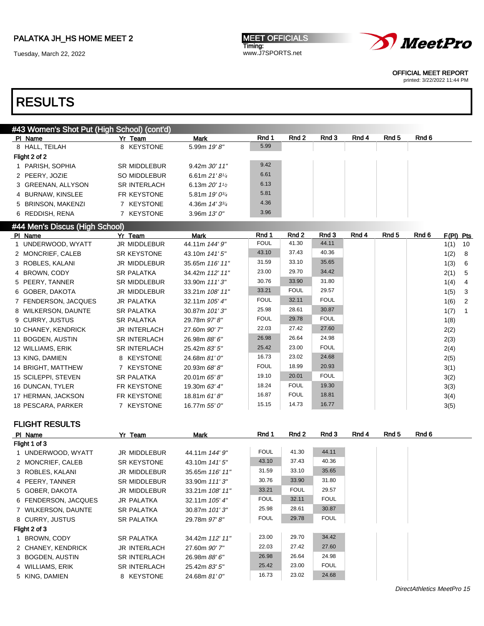Tuesday, March 22, 2022





OFFICIAL MEET REPORT

printed: 3/22/2022 11:44 PM

# RESULTS

### #43 Women's Shot Put (High School) (cont'd)

| PI Name            | Yr Team             | <b>Mark</b>                  | Rnd 1 | Rnd 2 | Rnd 3 | Rnd 4 | Rnd 5 | Rnd 6 |
|--------------------|---------------------|------------------------------|-------|-------|-------|-------|-------|-------|
| 8 HALL, TEILAH     | 8 KEYSTONE          | 5.99m $19'8''$               | 5.99  |       |       |       |       |       |
| Flight 2 of 2      |                     |                              |       |       |       |       |       |       |
| 1 PARISH, SOPHIA   | <b>SR MIDDLEBUR</b> | $9.42m$ $30'$ $11"$          | 9.42  |       |       |       |       |       |
| 2 PEERY, JOZIE     | SO MIDDLEBUR        | 6.61m $21'8\frac{1}{4}$      | 6.61  |       |       |       |       |       |
| 3 GREENAN, ALLYSON | <b>SR INTERLACH</b> | 6.13m $20'$ 1 <sup>1/2</sup> | 6.13  |       |       |       |       |       |
| 4 BURNAW, KINSLEE  | FR KEYSTONE         | 5.81m $19'0^{3/4}$           | 5.81  |       |       |       |       |       |
| 5 BRINSON, MAKENZI | 7 KEYSTONE          | 4.36m $14'3^{3/4}$           | 4.36  |       |       |       |       |       |
| 6 REDDISH, RENA    | 7 KEYSTONE          | $3.96m$ 13' 0"               | 3.96  |       |       |       |       |       |

#### #44 Men's Discus (High School)

| PI Name              | Yr Team             | Mark            | Rnd 1       | Rnd 2       | Rnd 3       | Rnd 4 | Rnd 5 | Rnd 6 | $F(PI)$ Pts |                |
|----------------------|---------------------|-----------------|-------------|-------------|-------------|-------|-------|-------|-------------|----------------|
| 1 UNDERWOOD, WYATT   | JR MIDDLEBUR        | 44.11m 144' 9"  | <b>FOUL</b> | 41.30       | 44.11       |       |       |       | 1(1)        | 10             |
| 2 MONCRIEF, CALEB    | <b>SR KEYSTONE</b>  | 43.10m 141'5"   | 43.10       | 37.43       | 40.36       |       |       |       | 1(2)        | 8              |
| 3 ROBLES, KALANI     | <b>JR MIDDLEBUR</b> | 35.65m 116' 11" | 31.59       | 33.10       | 35.65       |       |       |       | 1(3)        | 6              |
| 4 BROWN, CODY        | <b>SR PALATKA</b>   | 34.42m 112' 11" | 23.00       | 29.70       | 34.42       |       |       |       | 2(1)        | -5             |
| 5 PEERY, TANNER      | <b>SR MIDDLEBUR</b> | 33.90m 111'3"   | 30.76       | 33.90       | 31.80       |       |       |       | 1(4)        | $\overline{4}$ |
| 6 GOBER, DAKOTA      | JR MIDDLEBUR        | 33.21m 108' 11" | 33.21       | <b>FOUL</b> | 29.57       |       |       |       | 1(5)        | -3             |
| 7 FENDERSON, JACQUES | <b>JR PALATKA</b>   | 32.11m 105' 4"  | <b>FOUL</b> | 32.11       | <b>FOUL</b> |       |       |       | 1(6)        | $\overline{2}$ |
| 8 WILKERSON, DAUNTE  | <b>SR PALATKA</b>   | 30.87m 101'3"   | 25.98       | 28.61       | 30.87       |       |       |       | 1(7)        |                |
| 9 CURRY, JUSTUS      | <b>SR PALATKA</b>   | 29.78m 97' 8"   | <b>FOUL</b> | 29.78       | <b>FOUL</b> |       |       |       | 1(8)        |                |
| 10 CHANEY, KENDRICK  | <b>JR INTERLACH</b> | 27.60m 90' 7"   | 22.03       | 27.42       | 27.60       |       |       |       | 2(2)        |                |
| 11 BOGDEN, AUSTIN    | <b>SR INTERLACH</b> | 26.98m 88' 6"   | 26.98       | 26.64       | 24.98       |       |       |       | 2(3)        |                |
| 12 WILLIAMS, ERIK    | <b>SR INTERLACH</b> | 25.42m 83' 5"   | 25.42       | 23.00       | <b>FOUL</b> |       |       |       | 2(4)        |                |
| 13 KING, DAMIEN      | 8 KEYSTONE          | 24.68m 81' 0"   | 16.73       | 23.02       | 24.68       |       |       |       | 2(5)        |                |
| 14 BRIGHT, MATTHEW   | 7 KEYSTONE          | 20.93m 68'8"    | <b>FOUL</b> | 18.99       | 20.93       |       |       |       | 3(1)        |                |
| 15 SCILEPPI, STEVEN  | <b>SR PALATKA</b>   | 20.01m 65' 8"   | 19.10       | 20.01       | <b>FOUL</b> |       |       |       | 3(2)        |                |
| 16 DUNCAN, TYLER     | FR KEYSTONE         | 19.30m 63' 4"   | 18.24       | <b>FOUL</b> | 19.30       |       |       |       | 3(3)        |                |
| 17 HERMAN, JACKSON   | FR KEYSTONE         | 18.81m 61'8"    | 16.87       | <b>FOUL</b> | 18.81       |       |       |       | 3(4)        |                |
| 18 PESCARA, PARKER   | 7 KEYSTONE          | 16.77m 55' 0"   | 15.15       | 14.73       | 16.77       |       |       |       | 3(5)        |                |

FLIGHT RESULTS

| PI Name              | Yr Team             | Mark            | Rnd 1       | Rnd 2       | Rnd 3       | Rnd 4 | Rnd 5 | Rnd 6 |
|----------------------|---------------------|-----------------|-------------|-------------|-------------|-------|-------|-------|
| Flight 1 of 3        |                     |                 |             |             |             |       |       |       |
| 1 UNDERWOOD, WYATT   | JR MIDDLEBUR        | 44.11m 144' 9"  | <b>FOUL</b> | 41.30       | 44.11       |       |       |       |
| 2 MONCRIEF, CALEB    | SR KEYSTONE         | 43.10m 141'5"   | 43.10       | 37.43       | 40.36       |       |       |       |
| 3 ROBLES, KALANI     | JR MIDDLEBUR        | 35.65m 116' 11" | 31.59       | 33.10       | 35.65       |       |       |       |
| 4 PEERY, TANNER      | <b>SR MIDDLEBUR</b> | 33.90m 111'3"   | 30.76       | 33.90       | 31.80       |       |       |       |
| 5 GOBER, DAKOTA      | JR MIDDLEBUR        | 33.21m 108' 11" | 33.21       | <b>FOUL</b> | 29.57       |       |       |       |
| 6 FENDERSON, JACQUES | <b>JR PALATKA</b>   | 32.11m 105' 4"  | <b>FOUL</b> | 32.11       | <b>FOUL</b> |       |       |       |
| 7 WILKERSON, DAUNTE  | <b>SR PALATKA</b>   | 30.87m 101'3"   | 25.98       | 28.61       | 30.87       |       |       |       |
| 8 CURRY, JUSTUS      | <b>SR PALATKA</b>   | 29.78m 97' 8"   | <b>FOUL</b> | 29.78       | <b>FOUL</b> |       |       |       |
| Flight 2 of 3        |                     |                 |             |             |             |       |       |       |
| 1 BROWN, CODY        | <b>SR PALATKA</b>   | 34.42m 112' 11" | 23.00       | 29.70       | 34.42       |       |       |       |
| 2 CHANEY, KENDRICK   | <b>JR INTERLACH</b> | 27.60m 90' 7"   | 22.03       | 27.42       | 27.60       |       |       |       |
| 3 BOGDEN, AUSTIN     | <b>SR INTERLACH</b> | 26.98m 88' 6"   | 26.98       | 26.64       | 24.98       |       |       |       |
| 4 WILLIAMS, ERIK     | <b>SR INTERLACH</b> | 25.42m 83' 5"   | 25.42       | 23.00       | <b>FOUL</b> |       |       |       |
| 5 KING, DAMIEN       | 8 KEYSTONE          | 24.68m 81' 0"   | 16.73       | 23.02       | 24.68       |       |       |       |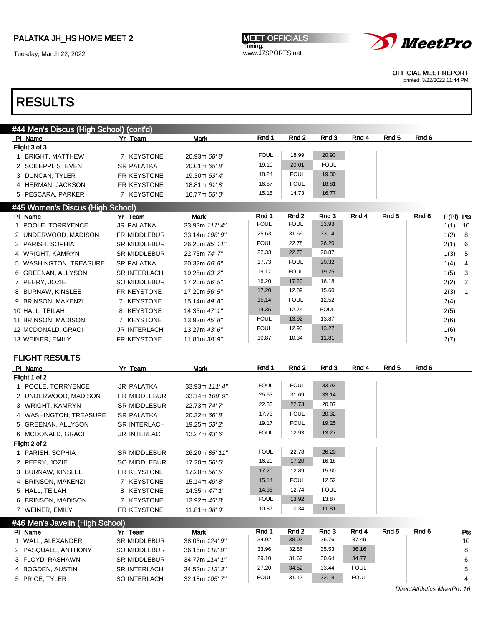Tuesday, March 22, 2022





OFFICIAL MEET REPORT

printed: 3/22/2022 11:44 PM

# RESULTS

| #44 Men's Discus (High School) (cont'd) |                     |                |             |             |             |       |       |       |             |  |
|-----------------------------------------|---------------------|----------------|-------------|-------------|-------------|-------|-------|-------|-------------|--|
| PI Name                                 | Yr Team             | <b>Mark</b>    | Rnd 1       | Rnd 2       | Rnd 3       | Rnd 4 | Rnd 5 | Rnd 6 |             |  |
| Flight 3 of 3                           |                     |                |             |             |             |       |       |       |             |  |
| BRIGHT, MATTHEW                         | 7 KEYSTONE          | 20.93m 68' 8"  | <b>FOUL</b> | 18.99       | 20.93       |       |       |       |             |  |
| 2 SCILEPPI, STEVEN                      | <b>SR PALATKA</b>   | 20.01m 65' 8"  | 19.10       | 20.01       | <b>FOUL</b> |       |       |       |             |  |
| 3 DUNCAN, TYLER                         | FR KEYSTONE         | 19.30m 63' 4"  | 18.24       | <b>FOUL</b> | 19.30       |       |       |       |             |  |
| 4 HERMAN, JACKSON                       | FR KEYSTONE         | 18.81m61'8''   | 16.87       | <b>FOUL</b> | 18.81       |       |       |       |             |  |
| 5 PESCARA, PARKER                       | 7 KEYSTONE          | 16.77m 55' 0"  | 15.15       | 14.73       | 16.77       |       |       |       |             |  |
| #45 Women's Discus (High School)        |                     |                |             |             |             |       |       |       |             |  |
| PI Name                                 | Yr Team             | Mark           | Rnd 1       | Rnd 2       | Rnd 3       | Rnd 4 | Rnd 5 | Rnd 6 | $F(PI)$ Pts |  |
| 1 POOLE, TORRYENCE                      | <b>JR PALATKA</b>   | 33.93m 111' 4" | <b>FOUL</b> | <b>FOUL</b> | 33.93       |       |       |       | 1(1)<br>10  |  |
| 2 UNDERWOOD, MADISON                    | FR MIDDLEBUR        | 33.14m 108' 9" | 25.63       | 31.69       | 33.14       |       |       |       | 1(2) 8      |  |
| 3 PARISH, SOPHIA                        | <b>SR MIDDLEBUR</b> | 26.20m 85' 11" | <b>FOUL</b> | 22.78       | 26.20       |       |       |       | 2(1) 6      |  |

| 3 PARISH, SOPHIA       | <b>SR MIDDLEBUR</b> | 26.20m 85' 11"  | <b>FOUL</b> | 22.78       | 26.20       | 2(1) | - 6                        |
|------------------------|---------------------|-----------------|-------------|-------------|-------------|------|----------------------------|
| 4 WRIGHT, KAMRYN       | <b>SR MIDDLEBUR</b> | 22.73m 74' 7"   | 22.33       | 22.73       | 20.87       | 1(3) | - 5                        |
| 5 WASHINGTON, TREASURE | <b>SR PALATKA</b>   | 20.32m 66' 8"   | 17.73       | <b>FOUL</b> | 20.32       | 1(4) | -4                         |
| 6 GREENAN, ALLYSON     | <b>SR INTERLACH</b> | 19.25m 63' 2"   | 19.17       | <b>FOUL</b> | 19.25       | 1(5) | - 3                        |
| 7 PEERY, JOZIE         | SO MIDDLEBUR        | 17.20m 56' 5"   | 16.20       | 17.20       | 16.18       | 2(2) | $\overline{\phantom{0}}^2$ |
| 8 BURNAW, KINSLEE      | FR KEYSTONE         | 17.20m 56' 5"   | 17.20       | 12.89       | 15.60       | 2(3) |                            |
| 9 BRINSON, MAKENZI     | 7 KEYSTONE          | 15.14m 49'8"    | 15.14       | <b>FOUL</b> | 12.52       | 2(4) |                            |
| 10 HALL, TEILAH        | 8 KEYSTONE          | 14.35m 47' 1"   | 14.35       | 12.74       | <b>FOUL</b> | 2(5) |                            |
| 11 BRINSON, MADISON    | 7 KEYSTONE          | 13.92m $45'8''$ | <b>FOUL</b> | 13.92       | 13.87       | 2(6) |                            |
| 12 MCDONALD, GRACI     | <b>JR INTERLACH</b> | 13.27m $43'6''$ | <b>FOUL</b> | 12.93       | 13.27       | 1(6) |                            |
| 13 WEINER, EMILY       | FR KEYSTONE         | 11.81m 38' 9"   | 10.87       | 10.34       | 11.81       | 2(7) |                            |

#### FLIGHT RESULTS

| PI Name                         | Yr Team             | Mark           | Rnd 1       | Rnd 2       | Rnd 3       | Rnd 4 | Rnd 5 | Rnd 6 |  |  |
|---------------------------------|---------------------|----------------|-------------|-------------|-------------|-------|-------|-------|--|--|
| Flight 1 of 2                   |                     |                |             |             |             |       |       |       |  |  |
| 1 POOLE, TORRYENCE              | JR PALATKA          | 33.93m 111' 4" | <b>FOUL</b> | <b>FOUL</b> | 33.93       |       |       |       |  |  |
| 2 UNDERWOOD, MADISON            | FR MIDDLEBUR        | 33.14m 108' 9" | 25.63       | 31.69       | 33.14       |       |       |       |  |  |
| 3 WRIGHT, KAMRYN                | <b>SR MIDDLEBUR</b> | 22.73m 74' 7"  | 22.33       | 22.73       | 20.87       |       |       |       |  |  |
| 4 WASHINGTON, TREASURE          | SR PALATKA          | 20.32m 66' 8"  | 17.73       | <b>FOUL</b> | 20.32       |       |       |       |  |  |
| 5 GREENAN, ALLYSON              | <b>SR INTERLACH</b> | 19.25m 63' 2"  | 19.17       | <b>FOUL</b> | 19.25       |       |       |       |  |  |
| 6 MCDONALD, GRACI               | <b>JR INTERLACH</b> | 13.27m 43' 6"  | <b>FOUL</b> | 12.93       | 13.27       |       |       |       |  |  |
| Flight 2 of 2                   |                     |                |             |             |             |       |       |       |  |  |
| 1 PARISH, SOPHIA                | <b>SR MIDDLEBUR</b> | 26.20m 85' 11" | <b>FOUL</b> | 22.78       | 26.20       |       |       |       |  |  |
| 2 PEERY, JOZIE                  | SO MIDDLEBUR        | 17.20m 56' 5"  | 16.20       | 17.20       | 16.18       |       |       |       |  |  |
| 3 BURNAW, KINSLEE               | FR KEYSTONE         | 17.20m 56' 5"  | 17.20       | 12.89       | 15.60       |       |       |       |  |  |
| 4 BRINSON, MAKENZI              | 7 KEYSTONE          | 15.14m 49' 8"  | 15.14       | <b>FOUL</b> | 12.52       |       |       |       |  |  |
| 5 HALL, TEILAH                  | 8 KEYSTONE          | 14.35m 47' 1"  | 14.35       | 12.74       | <b>FOUL</b> |       |       |       |  |  |
| 6 BRINSON, MADISON              | 7 KEYSTONE          | 13.92m 45' 8"  | <b>FOUL</b> | 13.92       | 13.87       |       |       |       |  |  |
| 7 WEINER, EMILY                 | FR KEYSTONE         | 11.81m 38' 9"  | 10.87       | 10.34       | 11.81       |       |       |       |  |  |
| #46 Men's Javelin (High School) |                     |                |             |             |             |       |       |       |  |  |

| PI Name             | Yr Team             | Mark           | Rnd 1       | Rnd 2 | Rnd 3 | Rnd 4       | Rnd 5 | Rnd 6 | Pts |
|---------------------|---------------------|----------------|-------------|-------|-------|-------------|-------|-------|-----|
| WALL. ALEXANDER     | <b>SR MIDDLEBUR</b> | 38.03m 124' 9" | 34.92       | 38.03 | 36.76 | 37.49       |       |       | 10  |
| 2 PASQUALE, ANTHONY | SO MIDDLEBUR        | 36.16m 118'8"  | 33.96       | 32.86 | 35.53 | 36.16       |       |       | 8   |
| 3 FLOYD, RASHAWN    | <b>SR MIDDLEBUR</b> | 34.77m 114' 1" | 29.10       | 31.62 | 30.64 | 34.77       |       |       | 6   |
| 4 BOGDEN, AUSTIN    | <b>SR INTERLACH</b> | 34.52m 113'3"  | 27.20       | 34.52 | 33.44 | <b>FOUL</b> |       |       |     |
| 5 PRICE. TYLER      | SO INTERLACH        | 32.18m 105' 7" | <b>FOUL</b> | 31.17 | 32.18 | <b>FOUL</b> |       |       | 4   |

DirectAthletics MeetPro 16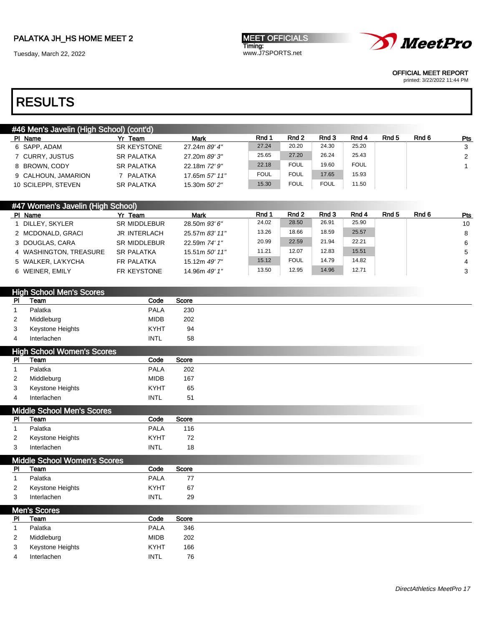Tuesday, March 22, 2022

**MEET OFFICIALS** Timing: www.J7SPORTS.net



OFFICIAL MEET REPORT

printed: 3/22/2022 11:44 PM

| #46 Men's Javelin (High School) (cont'd) |                    |                |             |             |             |             |       |       |     |
|------------------------------------------|--------------------|----------------|-------------|-------------|-------------|-------------|-------|-------|-----|
| PI Name                                  | Yr Team            | <b>Mark</b>    | Rnd 1       | Rnd 2       | Rnd 3       | Rnd 4       | Rnd 5 | Rnd 6 | Pts |
| 6 SAPP, ADAM                             | <b>SR KEYSTONE</b> | 27.24m 89' 4"  | 27.24       | 20.20       | 24.30       | 25.20       |       |       | 3   |
| 7 CURRY, JUSTUS                          | <b>SR PALATKA</b>  | 27.20m 89'3"   | 25.65       | 27.20       | 26.24       | 25.43       |       |       | 2   |
| 8 BROWN, CODY                            | <b>SR PALATKA</b>  | 22.18m 72' 9"  | 22.18       | <b>FOUL</b> | 19.60       | <b>FOUL</b> |       |       |     |
| 9 CALHOUN, JAMARION                      | 7 PALATKA          | 17.65m 57' 11" | <b>FOUL</b> | <b>FOUL</b> | 17.65       | 15.93       |       |       |     |
| 10 SCILEPPI, STEVEN                      | <b>SR PALATKA</b>  | 15.30m 50' 2"  | 15.30       | <b>FOUL</b> | <b>FOUL</b> | 11.50       |       |       |     |
|                                          |                    |                |             |             |             |             |       |       |     |

| #47 Women's Javelin (High School) |                     |                 |       |             |       |       |                  |       |     |
|-----------------------------------|---------------------|-----------------|-------|-------------|-------|-------|------------------|-------|-----|
| PI Name                           | Yr Team             | <b>Mark</b>     | Rnd 1 | Rnd 2       | Rnd 3 | Rnd 4 | Rnd <sub>5</sub> | Rnd 6 | Pts |
| DILLEY. SKYLER                    | <b>SR MIDDLEBUR</b> | 28.50m 93' 6"   | 24.02 | 28.50       | 26.91 | 25.90 |                  |       | 10  |
| 2 MCDONALD, GRACI                 | <b>JR INTERLACH</b> | 25.57m 83' 11"  | 13.26 | 18.66       | 18.59 | 25.57 |                  |       | 8   |
| 3 DOUGLAS, CARA                   | <b>SR MIDDLEBUR</b> | 22.59m 74' 1"   | 20.99 | 22.59       | 21.94 | 22.21 |                  |       | 6   |
| 4 WASHINGTON, TREASURE            | <b>SR PALATKA</b>   | 15.51m 50' 11'' | 11.21 | 12.07       | 12.83 | 15.51 |                  |       | 5   |
| 5 WALKER, LA'KYCHA                | FR PALATKA          | 15.12m 49' 7"   | 15.12 | <b>FOUL</b> | 14.79 | 14.82 |                  |       | 4   |
| 6 WEINER, EMILY                   | FR KEYSTONE         | 14.96m 49' 1"   | 13.50 | 12.95       | 14.96 | 12.71 |                  |       | 3   |

|             | <b>High School Men's Scores</b>           |             |       |
|-------------|-------------------------------------------|-------------|-------|
| PI          | Team                                      | Code        | Score |
| $\mathbf 1$ | Palatka                                   | <b>PALA</b> | 230   |
| 2           | Middleburg                                | <b>MIDB</b> | 202   |
| 3           | Keystone Heights                          | <b>KYHT</b> | 94    |
| 4           | Interlachen                               | <b>INTL</b> | 58    |
|             | <b>High School Women's Scores</b>         |             |       |
| PI          | Team                                      | Code        | Score |
| 1           | Palatka                                   | <b>PALA</b> | 202   |
| 2           | Middleburg                                | <b>MIDB</b> | 167   |
| 3           | Keystone Heights                          | <b>KYHT</b> | 65    |
| 4           | Interlachen                               | <b>INTL</b> | 51    |
|             |                                           |             |       |
| <b>PI</b>   | <b>Middle School Men's Scores</b><br>Team | Code        | Score |
| 1           | Palatka                                   | <b>PALA</b> | 116   |
| 2           | Keystone Heights                          | <b>KYHT</b> | 72    |
| 3           | Interlachen                               | <b>INTL</b> | 18    |
|             |                                           |             |       |
|             | <b>Middle School Women's Scores</b>       |             |       |
| PI          | Team                                      | Code        | Score |
| 1           | Palatka                                   | <b>PALA</b> | 77    |
| 2           | Keystone Heights                          | <b>KYHT</b> | 67    |
| 3           | Interlachen                               | <b>INTL</b> | 29    |
|             | Men's Scores                              |             |       |
| <b>PI</b>   | Team                                      | Code        | Score |
|             |                                           |             |       |
| $\mathbf 1$ | Palatka                                   | <b>PALA</b> | 346   |
| 2           | Middleburg                                | <b>MIDB</b> | 202   |
| 3           | Keystone Heights                          | <b>KYHT</b> | 166   |